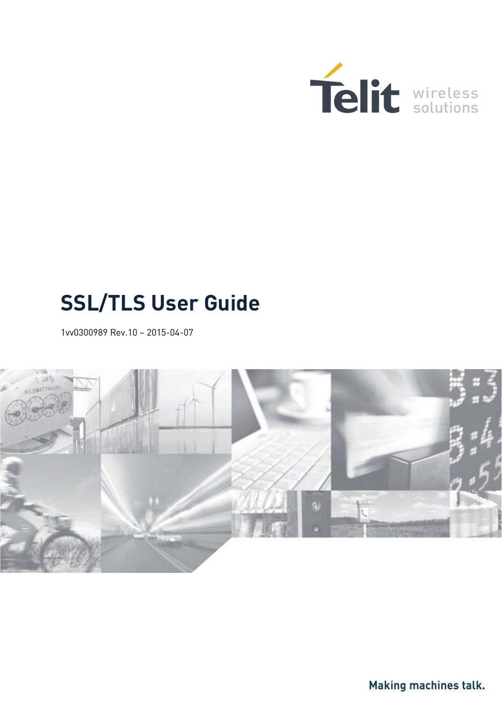

# **SSL/TLS User Guide**

<span id="page-0-0"></span>1vv0300989 Rev.10 – 2015-04-07



Making machines talk.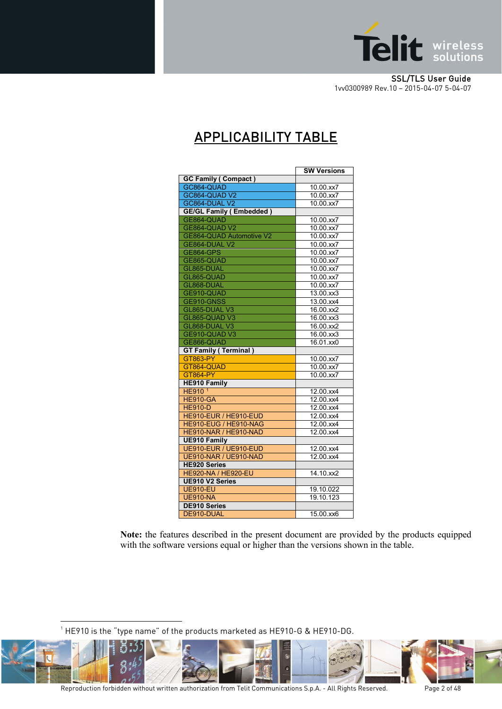

## APPLICABILITY TABLE

|                                 | <b>SW Versions</b>        |
|---------------------------------|---------------------------|
| <b>GC Family (Compact)</b>      |                           |
| GC864-QUAD                      | 10.00.xx7                 |
| GC864-QUAD V2                   | 10.00.xx7                 |
| GC864-DUAL V2                   | 10.00.xx7                 |
| <b>GE/GL Family (Embedded)</b>  |                           |
| GE864-QUAD                      | 10.00.xx7                 |
| GE864-QUAD V2                   | $10.00$ .xx7              |
| <b>GE864-QUAD Automotive V2</b> | 10.00.xx7                 |
| GE864-DUAL V2                   | 10.00.xx7                 |
| <b>GE864-GPS</b>                | 10.00.xx7                 |
| GE865-QUAD                      | 10.00.xx7                 |
| GL865-DUAL                      | 10.00.xx7                 |
| GL865-QUAD                      | 10.00.xx7                 |
| GL868-DUAL                      | 10.00.xx7                 |
| GE910-QUAD                      | $13.00 \text{.} \times 3$ |
| GE910-GNSS                      | 13.00.xx4                 |
| GL865-DUAL V3                   | 16.00.xx2                 |
| GL865-QUAD V3                   | 16.00.xx3                 |
| GL868-DUAL V3                   | 16.00.xx2                 |
| GE910-QUAD V3                   | 16.00.xx3                 |
| GE866-QUAD                      | 16.01.xx0                 |
| <b>GT Family (Terminal)</b>     |                           |
| GT863-PY                        | 10.00.xx7                 |
| GT864-QUAD                      | 10.00.xx7                 |
| <b>GT864-PY</b>                 | $\overline{10.00}$ .xx7   |
| <b>HE910 Family</b>             |                           |
| HE910 <sup>1</sup>              | 12.00.xx4                 |
| <b>HE910-GA</b>                 | 12.00.xx4                 |
| <b>HE910-D</b>                  | 12.00.xx4                 |
| HE910-EUR / HE910-EUD           | 12.00.xx4                 |
| HE910-EUG / HE910-NAG           | $12.00$ .xx4              |
| HE910-NAR / HE910-NAD           | 12.00.xx4                 |
| <b>UE910 Family</b>             |                           |
| UE910-EUR / UE910-EUD           | 12.00.xx4                 |
| <b>UE910-NAR / UE910-NAD</b>    | 12.00.xx4                 |
| <b>HE920 Series</b>             |                           |
| <b>HE920-NA / HE920-EU</b>      | 14.10.xx2                 |
| <b>UE910 V2 Series</b>          |                           |
| <b>UE910-EU</b>                 | 19.10.022                 |
| <b>UE910-NA</b>                 | 19.10.123                 |
| <b>DE910 Series</b>             |                           |
| DE910-DUAL                      | 15.00.xx6                 |

**Note:** the features described in the present document are provided by the products equipped with the software versions equal or higher than the versions shown in the table.

 $^{\rm 1}$  HE910 is the "type name" of the products marketed as HE910-G & HE910-DG.

<u>.</u>

<span id="page-1-0"></span>

Reproduction forbidden without written authorization from Telit Communications S.p.A. - All Rights Reserved. Page 2 of 48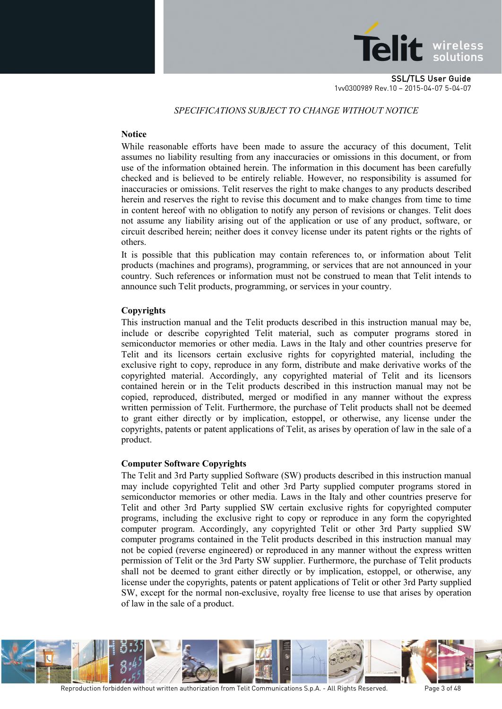

#### *SPECIFICATIONS SUBJECT TO CHANGE WITHOUT NOTICE*

#### **Notice**

While reasonable efforts have been made to assure the accuracy of this document, Telit assumes no liability resulting from any inaccuracies or omissions in this document, or from use of the information obtained herein. The information in this document has been carefully checked and is believed to be entirely reliable. However, no responsibility is assumed for inaccuracies or omissions. Telit reserves the right to make changes to any products described herein and reserves the right to revise this document and to make changes from time to time in content hereof with no obligation to notify any person of revisions or changes. Telit does not assume any liability arising out of the application or use of any product, software, or circuit described herein; neither does it convey license under its patent rights or the rights of others.

It is possible that this publication may contain references to, or information about Telit products (machines and programs), programming, or services that are not announced in your country. Such references or information must not be construed to mean that Telit intends to announce such Telit products, programming, or services in your country.

#### **Copyrights**

This instruction manual and the Telit products described in this instruction manual may be, include or describe copyrighted Telit material, such as computer programs stored in semiconductor memories or other media. Laws in the Italy and other countries preserve for Telit and its licensors certain exclusive rights for copyrighted material, including the exclusive right to copy, reproduce in any form, distribute and make derivative works of the copyrighted material. Accordingly, any copyrighted material of Telit and its licensors contained herein or in the Telit products described in this instruction manual may not be copied, reproduced, distributed, merged or modified in any manner without the express written permission of Telit. Furthermore, the purchase of Telit products shall not be deemed to grant either directly or by implication, estoppel, or otherwise, any license under the copyrights, patents or patent applications of Telit, as arises by operation of law in the sale of a product.

#### **Computer Software Copyrights**

The Telit and 3rd Party supplied Software (SW) products described in this instruction manual may include copyrighted Telit and other 3rd Party supplied computer programs stored in semiconductor memories or other media. Laws in the Italy and other countries preserve for Telit and other 3rd Party supplied SW certain exclusive rights for copyrighted computer programs, including the exclusive right to copy or reproduce in any form the copyrighted computer program. Accordingly, any copyrighted Telit or other 3rd Party supplied SW computer programs contained in the Telit products described in this instruction manual may not be copied (reverse engineered) or reproduced in any manner without the express written permission of Telit or the 3rd Party SW supplier. Furthermore, the purchase of Telit products shall not be deemed to grant either directly or by implication, estoppel, or otherwise, any license under the copyrights, patents or patent applications of Telit or other 3rd Party supplied SW, except for the normal non-exclusive, royalty free license to use that arises by operation of law in the sale of a product.

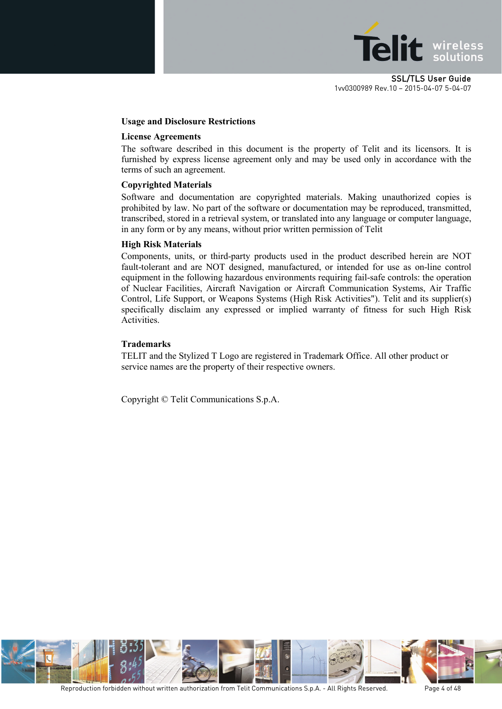

#### **Usage and Disclosure Restrictions**

#### **License Agreements**

The software described in this document is the property of Telit and its licensors. It is furnished by express license agreement only and may be used only in accordance with the terms of such an agreement.

#### **Copyrighted Materials**

Software and documentation are copyrighted materials. Making unauthorized copies is prohibited by law. No part of the software or documentation may be reproduced, transmitted, transcribed, stored in a retrieval system, or translated into any language or computer language, in any form or by any means, without prior written permission of Telit

#### **High Risk Materials**

Components, units, or third-party products used in the product described herein are NOT fault-tolerant and are NOT designed, manufactured, or intended for use as on-line control equipment in the following hazardous environments requiring fail-safe controls: the operation of Nuclear Facilities, Aircraft Navigation or Aircraft Communication Systems, Air Traffic Control, Life Support, or Weapons Systems (High Risk Activities"). Telit and its supplier(s) specifically disclaim any expressed or implied warranty of fitness for such High Risk Activities.

#### **Trademarks**

TELIT and the Stylized T Logo are registered in Trademark Office. All other product or service names are the property of their respective owners.

Copyright © Telit Communications S.p.A.

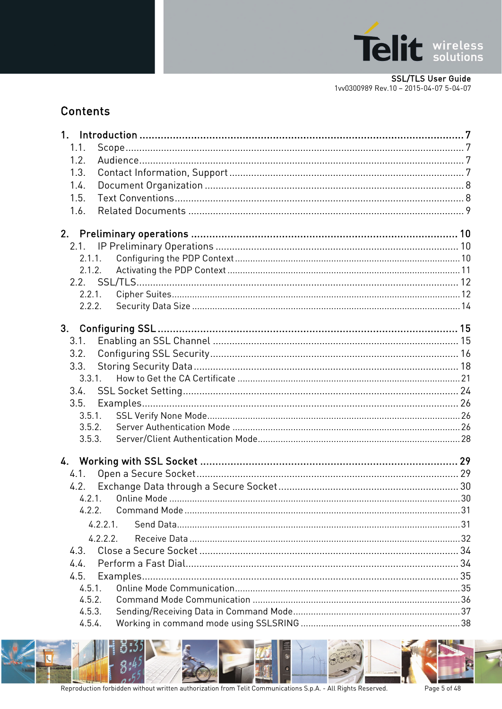

### **Contents**

| 1.1.        |  |
|-------------|--|
| 1.2.        |  |
| 1.3.        |  |
| 1.4.        |  |
| 1.5.        |  |
| 1.6.        |  |
|             |  |
|             |  |
|             |  |
| 2.1.1.      |  |
| 2.1.2.      |  |
|             |  |
| 2.2.1.      |  |
| 2.2.2.      |  |
|             |  |
| 3.1.        |  |
| 3.2.        |  |
| 3.3.        |  |
| 3.3.1.      |  |
| 3.4.        |  |
| 3.5.        |  |
| 3.5.1.      |  |
| 3.5.2.      |  |
| 3.5.3.      |  |
|             |  |
|             |  |
| 4.1.        |  |
| 4.2.        |  |
|             |  |
| 4.2.2.      |  |
| $4.2.2.1$ . |  |
| 4.2.2.2.    |  |
| 4.3.        |  |
| 4.4.        |  |
| 4.5.        |  |
| 4.5.1.      |  |
| 4.5.2.      |  |
| 4.5.3.      |  |
| 4.5.4.      |  |

8:4

Page 5 of 48

F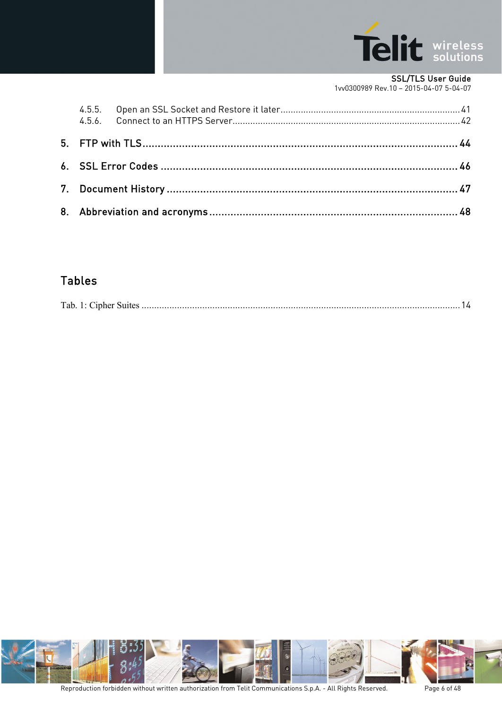

#### SSL/TLS User Guide

[1vv0300989](#page-0-0) Rev.10 – 2015-04-07 5-04-07

### Tables

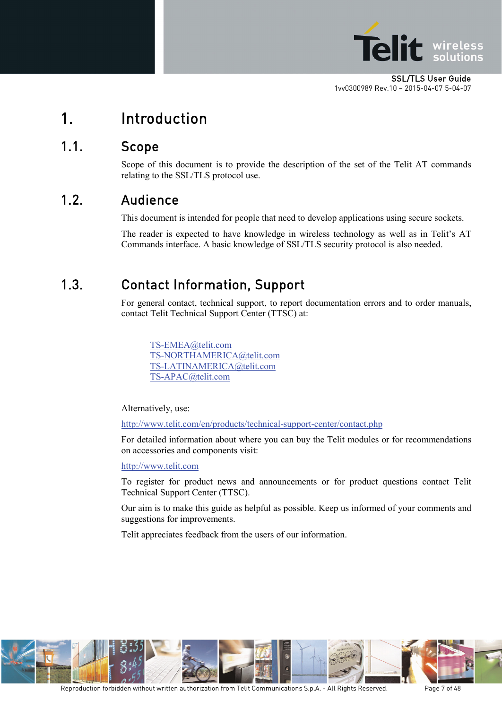

## <span id="page-6-0"></span>1. Introduction

### <span id="page-6-1"></span>1.1. Scope

Scope of this document is to provide the description of the set of the Telit AT commands relating to the SSL/TLS protocol use.

### <span id="page-6-2"></span>1.2. Audience

This document is intended for people that need to develop applications using secure sockets.

The reader is expected to have knowledge in wireless technology as well as in Telit's AT Commands interface. A basic knowledge of SSL/TLS security protocol is also needed.

## <span id="page-6-3"></span>1.3. Contact Information, Support

For general contact, technical support, to report documentation errors and to order manuals, contact Telit Technical Support Center (TTSC) at:

[TS-EMEA@telit.com](mailto:TS-EMEA@telit.com) [TS-NORTHAMERICA@telit.com](mailto:TS-NORTHAMERICA@telit.com) [TS-LATINAMERICA@telit.com](mailto:TS-LATINAMERICA@telit.com) [TS-APAC@telit.com](mailto:TS-APAC@telit.com)

Alternatively, use:

<http://www.telit.com/en/products/technical-support-center/contact.php>

For detailed information about where you can buy the Telit modules or for recommendations on accessories and components visit:

[http://www.telit.com](http://www.telit.com/)

To register for product news and announcements or for product questions contact Telit Technical Support Center (TTSC).

Our aim is to make this guide as helpful as possible. Keep us informed of your comments and suggestions for improvements.

Telit appreciates feedback from the users of our information.

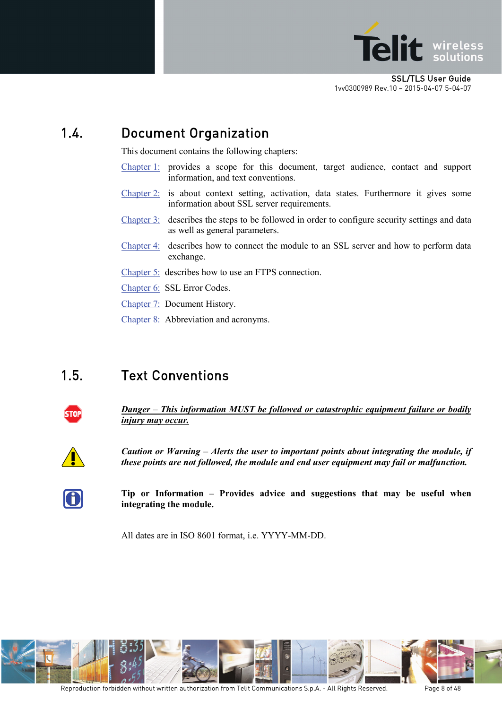

## <span id="page-7-0"></span>1.4. Document Organization

This document contains the following chapters:

- [Chapter 1:](#page-6-0) provides a scope for this document, target audience, contact and support information, and text conventions.
- [Chapter 2:](#page-9-0) is about context setting, activation, data states. Furthermore it gives some information about SSL server requirements.
- [Chapter 3:](#page-14-0) describes the steps to be followed in order to configure security settings and data as well as general parameters.
- [Chapter 4:](#page-28-0) describes how to connect the module to an SSL server and how to perform data exchange.
- [Chapter 5:](#page-43-0) describes how to use an FTPS connection.
- [Chapter 6:](#page-45-0) SSL Error Codes.
- [Chapter 7:](#page-46-0) Document History.
- [Chapter 8:](#page-47-0) Abbreviation and acronyms.

### <span id="page-7-1"></span>1.5. Text Conventions



*Danger – This information MUST be followed or catastrophic equipment failure or bodily injury may occur.*



*Caution or Warning – Alerts the user to important points about integrating the module, if these points are not followed, the module and end user equipment may fail or malfunction.*



**Tip or Information – Provides advice and suggestions that may be useful when integrating the module.**

All dates are in ISO 8601 format, i.e. YYYY-MM-DD.

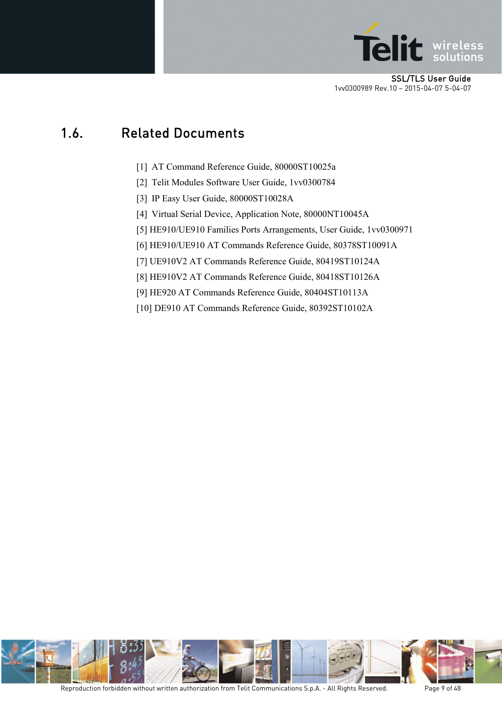

### <span id="page-8-0"></span>1.6. Related Documents

- [1] AT Command Reference Guide, 80000ST10025a
- [2] Telit Modules Software User Guide, 1vv0300784
- [3] IP Easy User Guide, 80000ST10028A
- [4] Virtual Serial Device, Application Note, 80000NT10045A
- [5] HE910/UE910 Families Ports Arrangements, User Guide, 1vv0300971
- [6] HE910/UE910 AT Commands Reference Guide, 80378ST10091A
- [7] UE910V2 AT Commands Reference Guide, 80419ST10124A
- [8] HE910V2 AT Commands Reference Guide, 80418ST10126A
- [9] HE920 AT Commands Reference Guide, 80404ST10113A
- [10] DE910 AT Commands Reference Guide, 80392ST10102A

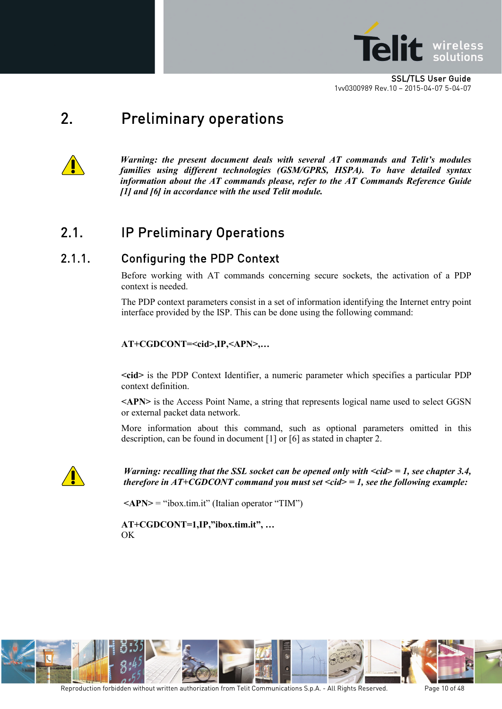

## <span id="page-9-0"></span>2. Preliminary operations



*Warning: the present document deals with several AT commands and Telit's modules families using different technologies (GSM/GPRS, HSPA). To have detailed syntax information about the AT commands please, refer to the AT Commands Reference Guide [1] and [6] in accordance with the used Telit module.*

### <span id="page-9-1"></span>2.1. IP Preliminary Operations

### <span id="page-9-2"></span>2.1.1. Configuring the PDP Context

Before working with AT commands concerning secure sockets, the activation of a PDP context is needed.

The PDP context parameters consist in a set of information identifying the Internet entry point interface provided by the ISP. This can be done using the following command:

#### **AT+CGDCONT=<cid>,IP,<APN>,…**

**<cid>** is the PDP Context Identifier, a numeric parameter which specifies a particular PDP context definition.

**<APN>** is the Access Point Name, a string that represents logical name used to select GGSN or external packet data network.

More information about this command, such as optional parameters omitted in this description, can be found in document [1] or [6] as stated in chapter [2.](#page-9-0)



*Warning: recalling that the SSL socket can be opened only with <cid> = 1, see chapter [3.4,](#page-23-0) therefore in AT+CGDCONT command you must set <cid> = 1, see the following example:*

 $\langle APN \rangle$  = "ibox.tim.it" (Italian operator "TIM")

**AT+CGDCONT=1,IP,"ibox.tim.it", …** OK

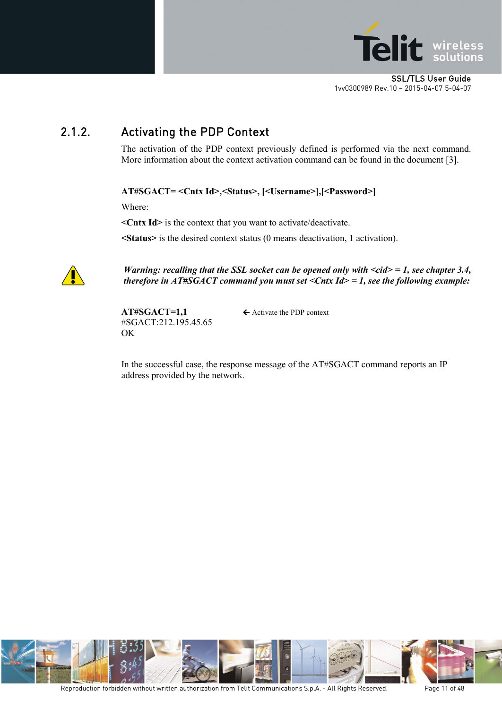

### <span id="page-10-0"></span>2.1.2. Activating the PDP Context

The activation of the PDP context previously defined is performed via the next command. More information about the context activation command can be found in the document [3].

**AT#SGACT= <Cntx Id>,<Status>, [<Username>],[<Password>]**

Where:

**<Cntx Id>** is the context that you want to activate/deactivate.

**<Status>** is the desired context status (0 means deactivation, 1 activation).



*Warning: recalling that the SSL socket can be opened only with <cid> = 1, see chapter [3.4,](#page-23-0) therefore in AT#SGACT command you must set <Cntx Id> = 1, see the following example:*

 $AT#SGACT=1.1$   $\leftarrow$  Activate the PDP context #SGACT:212.195.45.65 OK

In the successful case, the response message of the AT#SGACT command reports an IP address provided by the network.

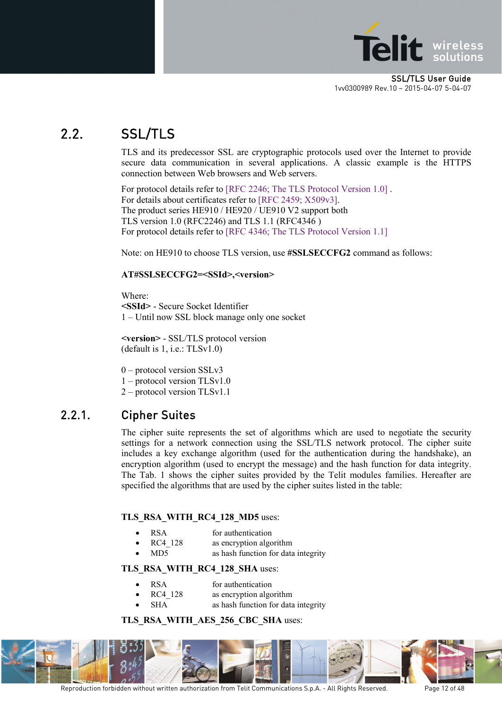

## <span id="page-11-0"></span>2.2. SSL/TLS

TLS and its predecessor SSL are cryptographic protocols used over the Internet to provide secure data communication in several applications. A classic example is the HTTPS connection between Web browsers and Web servers.

For protocol details refer to [RFC 2246; The TLS Protocol Version 1.0] . For details about certificates refer to [RFC 2459; X509v3]. The product series HE910 / HE920 / UE910 V2 support both TLS version 1.0 (RFC2246) and TLS 1.1 (RFC4346 ) For protocol details refer to [RFC 4346; The TLS Protocol Version 1.1]

Note: on HE910 to choose TLS version, use **#SSLSECCFG2** command as follows:

#### **AT#SSLSECCFG2=<SSId>,<version>**

Where:

**<SSId>** - Secure Socket Identifier 1 – Until now SSL block manage only one socket

**<version>** - SSL/TLS protocol version (default is 1, i.e.: TLSv1.0)

0 – protocol version SSLv3

1 – protocol version TLSv1.0

2 – protocol version TLSv1.1

#### <span id="page-11-1"></span>2.2.1. Cipher Suites

The cipher suite represents the set of algorithms which are used to negotiate the security settings for a network connection using the SSL/TLS network protocol. The cipher suite includes a key exchange algorithm (used for the authentication during the handshake), an encryption algorithm (used to encrypt the message) and the hash function for data integrity. The [Tab. 1](#page-13-1) shows the cipher suites provided by the Telit modules families. Hereafter are specified the algorithms that are used by the cipher suites listed in the table:

#### **TLS\_RSA\_WITH\_RC4\_128\_MD5** uses:

- RSA for authentication
- RC4 128 as encryption algorithm
- MD5 as hash function for data integrity

#### **TLS\_RSA\_WITH\_RC4\_128\_SHA** uses:

- RSA for authentication
- RC4 128 as encryption algorithm
- SHA as hash function for data integrity

#### **TLS\_RSA\_WITH\_AES\_256\_CBC\_SHA** uses:



Reproduction forbidden without written authorization from Telit Communications S.p.A. - All Rights Reserved. Page 12 of 48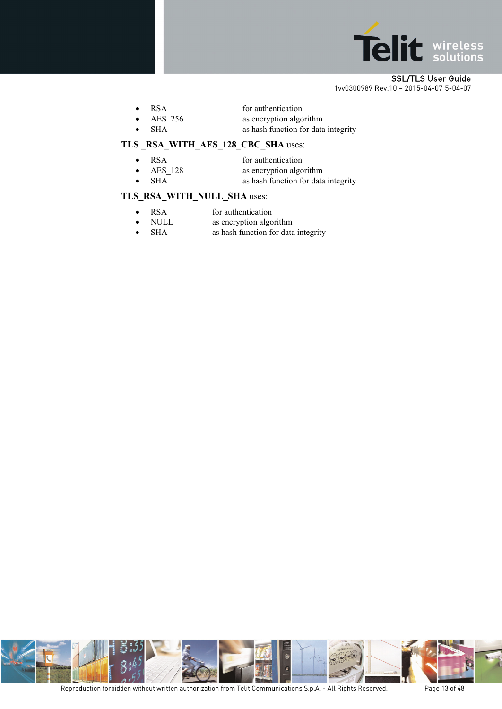

| <b>RSA</b> | for authentication                                                                                                                                                                                                                                                                                                                                                                                                                                                                         |
|------------|--------------------------------------------------------------------------------------------------------------------------------------------------------------------------------------------------------------------------------------------------------------------------------------------------------------------------------------------------------------------------------------------------------------------------------------------------------------------------------------------|
| AES 256    | as encryption algorithm                                                                                                                                                                                                                                                                                                                                                                                                                                                                    |
|            | $\blacksquare$ $\blacksquare$ $\blacksquare$ $\blacksquare$ $\blacksquare$ $\blacksquare$ $\blacksquare$ $\blacksquare$ $\blacksquare$ $\blacksquare$ $\blacksquare$ $\blacksquare$ $\blacksquare$ $\blacksquare$ $\blacksquare$ $\blacksquare$ $\blacksquare$ $\blacksquare$ $\blacksquare$ $\blacksquare$ $\blacksquare$ $\blacksquare$ $\blacksquare$ $\blacksquare$ $\blacksquare$ $\blacksquare$ $\blacksquare$ $\blacksquare$ $\blacksquare$ $\blacksquare$ $\blacksquare$ $\blacks$ |

• SHA as hash function for data integrity

#### **TLS \_RSA\_WITH\_AES\_128\_CBC\_SHA** uses:

- RSA for authentication
- AES 128 as encryption algorithm
- SHA as hash function for data integrity

#### **TLS\_RSA\_WITH\_NULL\_SHA** uses:

- RSA for authentication
- NULL as encryption algorithm
- SHA as hash function for data integrity

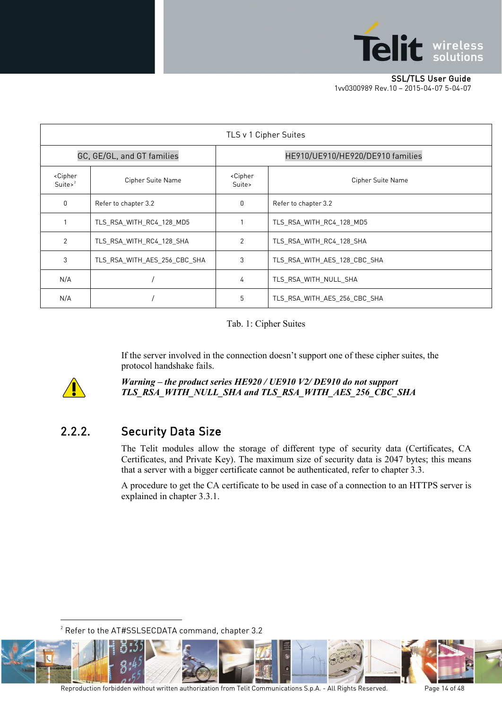

|                                                 | TLS v 1 Cipher Suites        |                                  |                                  |
|-------------------------------------------------|------------------------------|----------------------------------|----------------------------------|
| GC, GE/GL, and GT families                      |                              |                                  | HE910/UE910/HE920/DE910 families |
| <cipher<br>Suite<math>&gt;^2</math></cipher<br> | Cipher Suite Name            | <cipher<br>Suite&gt;</cipher<br> | Cipher Suite Name                |
| 0                                               | Refer to chapter 3.2         | 0                                | Refer to chapter 3.2             |
|                                                 | TLS RSA WITH RC4 128 MD5     |                                  | TLS RSA WITH RC4 128 MD5         |
| 2                                               | TLS RSA WITH RC4 128 SHA     | 2                                | TLS RSA WITH RC4 128 SHA         |
| 3                                               | TLS RSA WITH AES 256 CBC SHA | 3                                | TLS RSA WITH AES 128 CBC SHA     |
| N/A                                             |                              | 4                                | TLS RSA WITH NULL SHA            |
| N/A                                             |                              | 5                                | TLS RSA WITH AES 256 CBC SHA     |

#### Tab. 1: Cipher Suites

If the server involved in the connection doesn't support one of these cipher suites, the protocol handshake fails.

<span id="page-13-1"></span>

-

*Warning – the product series HE920 / UE910 V2/ DE910 do not support TLS\_RSA\_WITH\_NULL\_SHA and TLS\_RSA\_WITH\_AES\_256\_CBC\_SHA*

### <span id="page-13-0"></span>2.2.2. Security Data Size

The Telit modules allow the storage of different type of security data (Certificates, CA Certificates, and Private Key). The maximum size of security data is 2047 bytes; this means that a server with a bigger certificate cannot be authenticated, refer to chapter [3.3.](#page-17-0)

A procedure to get the CA certificate to be used in case of a connection to an HTTPS server is explained in chapter [3.3.1.](#page-20-0)

 $^{\rm 2}$  Refer to the AT#SSLSECDATA command, chapte[r 3.2](#page-15-0)

<span id="page-13-2"></span>

Reproduction forbidden without written authorization from Telit Communications S.p.A. - All Rights Reserved. Page 14 of 48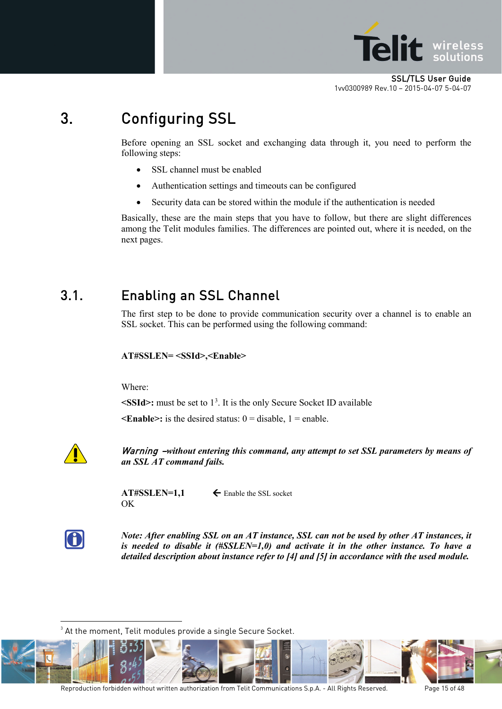

## <span id="page-14-0"></span>3. Configuring SSL

Before opening an SSL socket and exchanging data through it, you need to perform the following steps:

- SSL channel must be enabled
- Authentication settings and timeouts can be configured
- Security data can be stored within the module if the authentication is needed

Basically, these are the main steps that you have to follow, but there are slight differences among the Telit modules families. The differences are pointed out, where it is needed, on the next pages.

### <span id="page-14-1"></span>3.1. Enabling an SSL Channel

The first step to be done to provide communication security over a channel is to enable an SSL socket. This can be performed using the following command:

#### **AT#SSLEN= <SSId>,<Enable>**

Where:

**<SSId>:** must be set to 1[3](#page-14-2) . It is the only Secure Socket ID available

 $\leq$ **Enable>:** is the desired status:  $0 =$  disable,  $1 =$  enable.



Warning –*without entering this command, any attempt to set SSL parameters by means of an SSL AT command fails.*

OK

 $AT#SSLEN=1,1$   $\leftarrow$  Enable the SSL socket



<u>.</u>

*Note: After enabling SSL on an AT instance, SSL can not be used by other AT instances, it is needed to disable it (#SSLEN=1,0) and activate it in the other instance. To have a detailed description about instance refer to [4] and [5] in accordance with the used module.*

 $^{\rm 3}$  At the moment, Telit modules provide a single Secure Socket.

<span id="page-14-2"></span>

Reproduction forbidden without written authorization from Telit Communications S.p.A. - All Rights Reserved. Page 15 of 48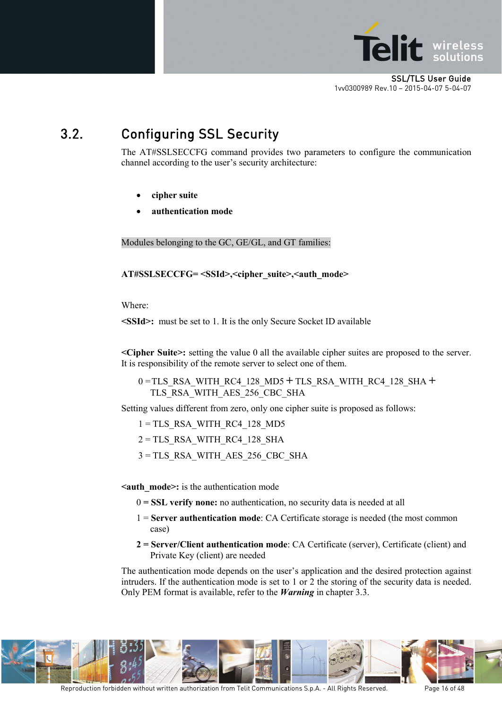

## <span id="page-15-0"></span>3.2. Configuring SSL Security

The AT#SSLSECCFG command provides two parameters to configure the communication channel according to the user's security architecture:

- **cipher suite**
- **authentication mode**

Modules belonging to the GC, GE/GL, and GT families:

**AT#SSLSECCFG= <SSId>,<cipher\_suite>,<auth\_mode>**

Where:

**<SSId>:** must be set to 1. It is the only Secure Socket ID available

**<Cipher Suite>:** setting the value 0 all the available cipher suites are proposed to the server. It is responsibility of the remote server to select one of them.

0 =TLS\_RSA\_WITH\_RC4\_128\_MD5 **+** TLS\_RSA\_WITH\_RC4\_128\_SHA **+** TLS\_RSA\_WITH\_AES\_256\_CBC\_SHA

Setting values different from zero, only one cipher suite is proposed as follows:

 $1 = TLS$  RSA WITH RC4 128 MD5

 $2 = TLS$  RSA WITH RC4 128 SHA

3 = TLS\_RSA\_WITH\_AES\_256\_CBC\_SHA

**<auth\_mode>:** is the authentication mode

- 0 **= SSL verify none:** no authentication, no security data is needed at all
- 1 = **Server authentication mode**: CA Certificate storage is needed (the most common case)
- **2 = Server/Client authentication mode**: CA Certificate (server), Certificate (client) and Private Key (client) are needed

The authentication mode depends on the user's application and the desired protection against intruders. If the authentication mode is set to 1 or 2 the storing of the security data is needed. Only PEM format is available, refer to the *Warning* in chapter [3.3.](#page-17-0)

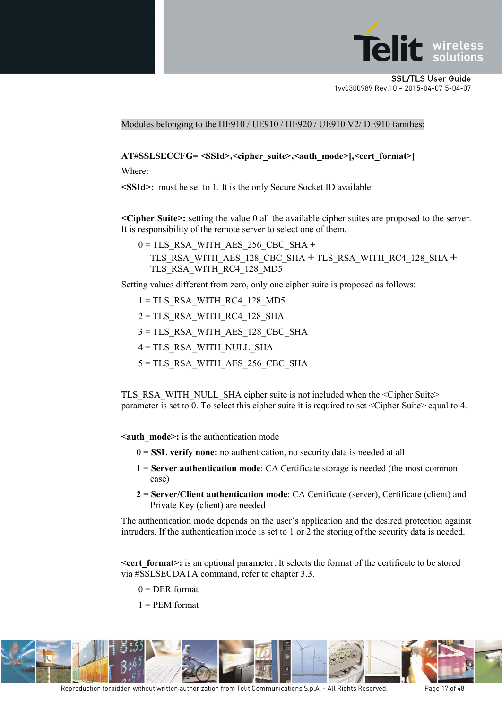

Modules belonging to the HE910 / UE910 / HE920 / UE910 V2/ DE910 families:

**AT#SSLSECCFG= <SSId>,<cipher\_suite>,<auth\_mode>[,<cert\_format>]**

Where:

**<SSId>:** must be set to 1. It is the only Secure Socket ID available

**<Cipher Suite>:** setting the value 0 all the available cipher suites are proposed to the server. It is responsibility of the remote server to select one of them.

 $0 = TLS$  RSA\_WITH\_AES\_256\_CBC\_SHA + TLS\_RSA\_WITH\_AES\_128\_CBC\_SHA **+** TLS\_RSA\_WITH\_RC4\_128\_SHA **+** TLS\_RSA\_WITH\_RC4\_128\_MD5

Setting values different from zero, only one cipher suite is proposed as follows:

 $1 = TLS$  RSA WITH RC4 128 MD5  $2 = TLS$  RSA WITH RC4 128 SHA 3 = TLS\_RSA\_WITH\_AES\_128\_CBC\_SHA 4 = TLS\_RSA\_WITH\_NULL\_SHA

5 = TLS\_RSA\_WITH\_AES\_256\_CBC\_SHA

TLS\_RSA\_WITH\_NULL\_SHA cipher suite is not included when the <Cipher Suite> parameter is set to 0. To select this cipher suite it is required to set <Cipher Suite> equal to 4.

**<auth\_mode>:** is the authentication mode

- 0 **= SSL verify none:** no authentication, no security data is needed at all
- 1 = **Server authentication mode**: CA Certificate storage is needed (the most common case)
- **2 = Server/Client authentication mode**: CA Certificate (server), Certificate (client) and Private Key (client) are needed

The authentication mode depends on the user's application and the desired protection against intruders. If the authentication mode is set to 1 or 2 the storing of the security data is needed.

**<cert format>:** is an optional parameter. It selects the format of the certificate to be stored via #SSLSECDATA command, refer to chapter [3.3.](#page-17-0)

- $0 = DER$  format
- $1 = PEM format$

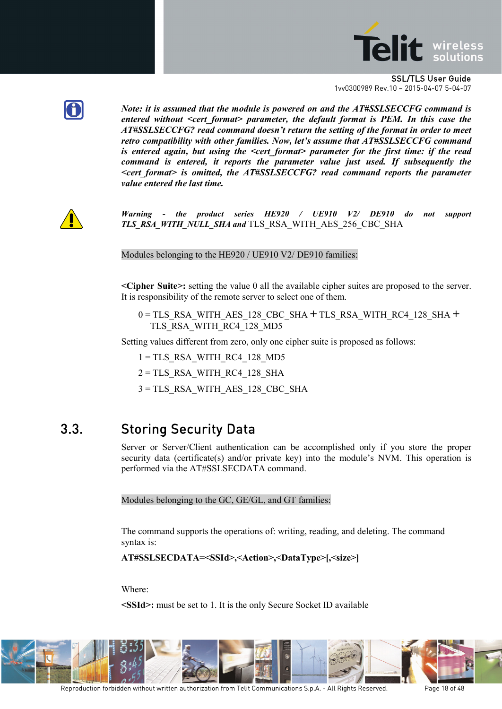



*Note: it is assumed that the module is powered on and the AT#SSLSECCFG command is entered without <cert\_format> parameter, the default format is PEM. In this case the AT#SSLSECCFG? read command doesn't return the setting of the format in order to meet retro compatibility with other families. Now, let's assume that AT#SSLSECCFG command is entered again, but using the <cert\_format> parameter for the first time: if the read command is entered, it reports the parameter value just used. If subsequently the <cert\_format> is omitted, the AT#SSLSECCFG? read command reports the parameter value entered the last time.*



*Warning - the product series HE920 / UE910 V2/ DE910 do not support TLS\_RSA\_WITH\_NULL\_SHA and* TLS\_RSA\_WITH\_AES\_256\_CBC\_SHA

Modules belonging to the HE920 / UE910 V2/ DE910 families:

**<Cipher Suite>:** setting the value 0 all the available cipher suites are proposed to the server. It is responsibility of the remote server to select one of them.

0 = TLS\_RSA\_WITH\_AES\_128\_CBC\_SHA **+** TLS\_RSA\_WITH\_RC4\_128\_SHA **+** TLS RSA WITH RC4 128 MD5

Setting values different from zero, only one cipher suite is proposed as follows:

 $1 = TLS$  RSA WITH RC4 128 MD5

 $2 = TLS$  RSA WITH RC4 128 SHA

3 = TLS\_RSA\_WITH\_AES\_128\_CBC\_SHA

### <span id="page-17-0"></span>3.3. Storing Security Data

Server or Server/Client authentication can be accomplished only if you store the proper security data (certificate(s) and/or private key) into the module's NVM. This operation is performed via the AT#SSLSECDATA command.

Modules belonging to the GC, GE/GL, and GT families:

The command supports the operations of: writing, reading, and deleting. The command syntax is:

```
AT#SSLSECDATA=<SSId>,<Action>,<DataType>[,<size>]
```
Where:

**<SSId>:** must be set to 1. It is the only Secure Socket ID available

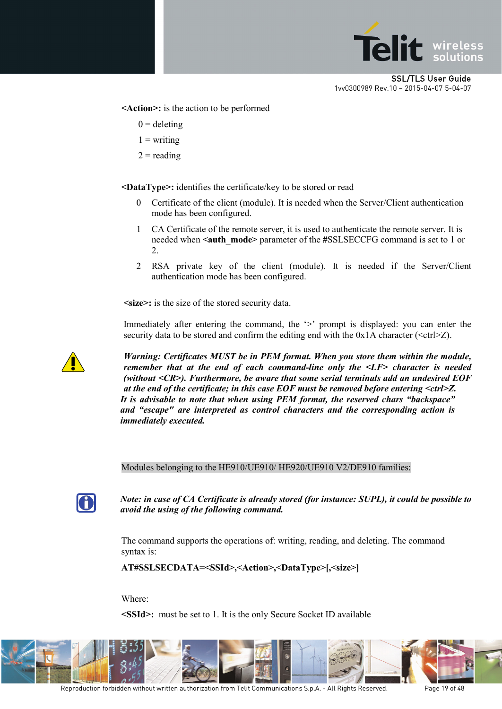

**<Action>:** is the action to be performed

- $0 =$  deleting
- $1 =$ writing
- $2 =$  reading

**<DataType>:** identifies the certificate/key to be stored or read

- 0 Certificate of the client (module). It is needed when the Server/Client authentication mode has been configured.
- 1 CA Certificate of the remote server, it is used to authenticate the remote server. It is needed when **<auth\_mode>** parameter of the **#**SSLSECCFG command is set to 1 or 2.
- 2 RSA private key of the client (module). It is needed if the Server/Client authentication mode has been configured.

**<size>:** is the size of the stored security data.

Immediately after entering the command, the '>' prompt is displayed: you can enter the security data to be stored and confirm the editing end with the  $0x1A$  character ( $\text{<}$ ctrl $\geq$ Z).



*Warning: Certificates MUST be in PEM format. When you store them within the module, remember that at the end of each command-line only the <LF> character is needed (without <CR>). Furthermore, be aware that some serial terminals add an undesired EOF at the end of the certificate; in this case EOF must be removed before entering <ctrl>Z. It is advisable to note that when using PEM format, the reserved chars "backspace" and "escape" are interpreted as control characters and the corresponding action is immediately executed.*

Modules belonging to the HE910/UE910/ HE920/UE910 V2/DE910 families:



*Note: in case of CA Certificate is already stored (for instance: SUPL), it could be possible to avoid the using of the following command.*

The command supports the operations of: writing, reading, and deleting. The command syntax is:

**AT#SSLSECDATA=<SSId>,<Action>,<DataType>[,<size>]**

Where:

**<SSId>:** must be set to 1. It is the only Secure Socket ID available



Reproduction forbidden without written authorization from Telit Communications S.p.A. - All Rights Reserved. Page 19 of 48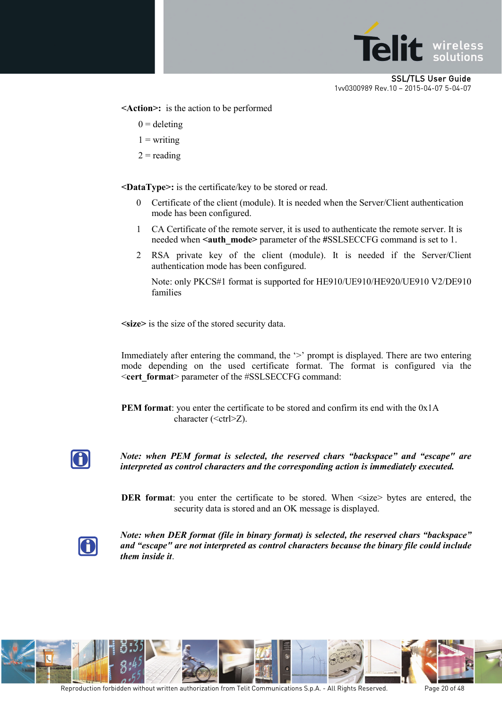

**<Action>:** is the action to be performed

- $0 =$  deleting
- $1 =$  writing
- $2 =$  reading

**<DataType>:** is the certificate/key to be stored or read.

- 0 Certificate of the client (module). It is needed when the Server/Client authentication mode has been configured.
- 1 CA Certificate of the remote server, it is used to authenticate the remote server. It is needed when **<auth\_mode>** parameter of the #SSLSECCFG command is set to 1.
- 2 RSA private key of the client (module). It is needed if the Server/Client authentication mode has been configured.

Note: only PKCS#1 format is supported for HE910/UE910/HE920/UE910 V2/DE910 families

**<size>** is the size of the stored security data.

Immediately after entering the command, the '>' prompt is displayed. There are two entering mode depending on the used certificate format. The format is configured via the <**cert\_format**> parameter of the #SSLSECCFG command:

**PEM format**: you enter the certificate to be stored and confirm its end with the  $0x1A$ character (<ctrl>Z).



*Note: when PEM format is selected, the reserved chars "backspace" and "escape" are interpreted as control characters and the corresponding action is immediately executed.*

**DER format**: you enter the certificate to be stored. When  $\langle$ size $\rangle$  bytes are entered, the security data is stored and an OK message is displayed.



*Note: when DER format (file in binary format) is selected, the reserved chars "backspace" and "escape" are not interpreted as control characters because the binary file could include them inside it*.

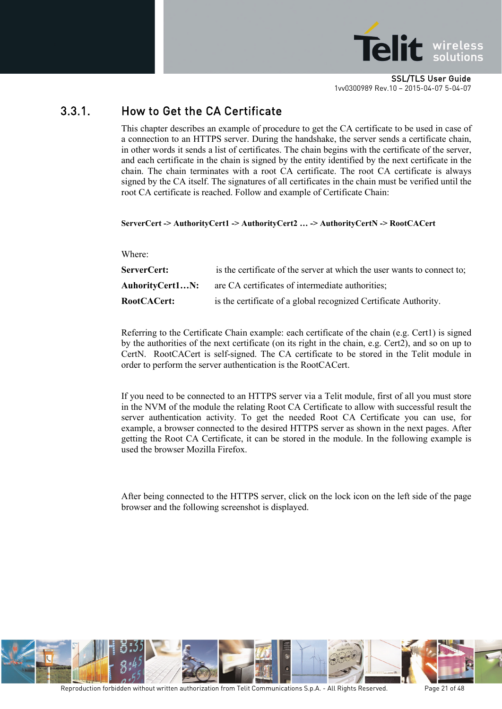

### <span id="page-20-0"></span>3.3.1. How to Get the CA Certificate

This chapter describes an example of procedure to get the CA certificate to be used in case of a connection to an HTTPS server. During the handshake, the server sends a certificate chain, in other words it sends a list of certificates. The chain begins with the certificate of the server, and each certificate in the chain is signed by the entity identified by the next certificate in the chain. The chain terminates with a root CA certificate. The root CA certificate is always signed by the CA itself. The signatures of all certificates in the chain must be verified until the root CA certificate is reached. Follow and example of Certificate Chain:

#### **ServerCert -> AuthorityCert1 -> AuthorityCert2 … -> AuthorityCertN -> RootCACert**

Where:

| <b>ServerCert:</b> | is the certificate of the server at which the user wants to connect to; |
|--------------------|-------------------------------------------------------------------------|
| AuhorityCert1N:    | are CA certificates of intermediate authorities;                        |
| RootCACert:        | is the certificate of a global recognized Certificate Authority.        |

Referring to the Certificate Chain example: each certificate of the chain (e.g. Cert1) is signed by the authorities of the next certificate (on its right in the chain, e.g. Cert2), and so on up to CertN. RootCACert is self-signed. The CA certificate to be stored in the Telit module in order to perform the server authentication is the RootCACert.

If you need to be connected to an HTTPS server via a Telit module, first of all you must store in the NVM of the module the relating Root CA Certificate to allow with successful result the server authentication activity. To get the needed Root CA Certificate you can use, for example, a browser connected to the desired HTTPS server as shown in the next pages. After getting the Root CA Certificate, it can be stored in the module. In the following example is used the browser Mozilla Firefox.

After being connected to the HTTPS server, click on the lock icon on the left side of the page browser and the following screenshot is displayed.

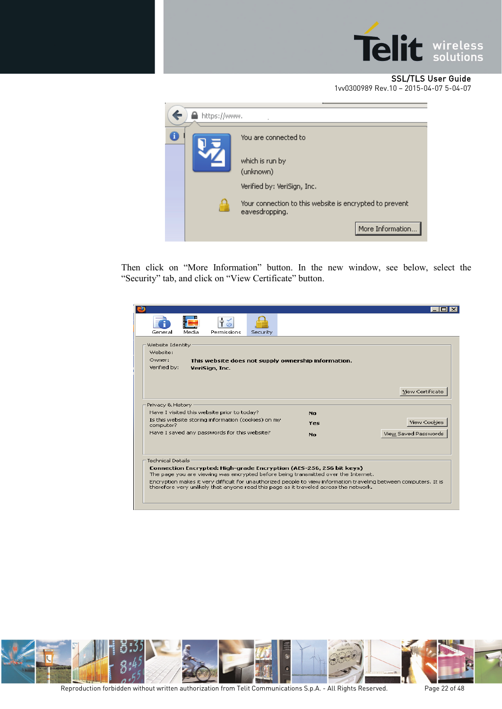

#### SSL/TLS User Guide

[1vv0300989](#page-0-0) Rev.10 – 2015-04-07 5-04-07

| https://www. |                                                                           |
|--------------|---------------------------------------------------------------------------|
|              | You are connected to                                                      |
|              | which is run by<br>(unknown)                                              |
|              | Verified by: VeriSign, Inc.                                               |
|              | Your connection to this website is encrypted to prevent<br>eavesdropping. |
|              | More Information                                                          |

Then click on "More Information" button. In the new window, see below, select the "Security" tab, and click on "View Certificate" button.

| Media<br>Security<br>General<br>Permissions                                                                                                                                                                |     |                      |
|------------------------------------------------------------------------------------------------------------------------------------------------------------------------------------------------------------|-----|----------------------|
|                                                                                                                                                                                                            |     |                      |
| Website Identity                                                                                                                                                                                           |     |                      |
| Website:                                                                                                                                                                                                   |     |                      |
| Owner:<br>This website does not supply ownership information.                                                                                                                                              |     |                      |
| Verified by:<br><b>VeriSign, Inc.</b>                                                                                                                                                                      |     |                      |
|                                                                                                                                                                                                            |     |                      |
|                                                                                                                                                                                                            |     |                      |
|                                                                                                                                                                                                            |     | View Certificate     |
|                                                                                                                                                                                                            |     |                      |
| Privacy & History                                                                                                                                                                                          |     |                      |
| Have I visited this website prior to today?                                                                                                                                                                | No. |                      |
| Is this website storing information (cookies) on my<br>computer?                                                                                                                                           | Yes | View Cookies         |
| Have I saved any passwords for this website?                                                                                                                                                               | No. | View Saved Passwords |
|                                                                                                                                                                                                            |     |                      |
| <b>Technical Details</b>                                                                                                                                                                                   |     |                      |
| Connection Encrypted: High-grade Encryption (AES-256, 256 bit keys)<br>The page you are viewing was encrypted before being transmitted over the Internet.                                                  |     |                      |
| Encryption makes it very difficult for unauthorized people to view information traveling between computers. It is<br>therefore very unlikely that anyone read this page as it traveled across the network. |     |                      |
|                                                                                                                                                                                                            |     |                      |

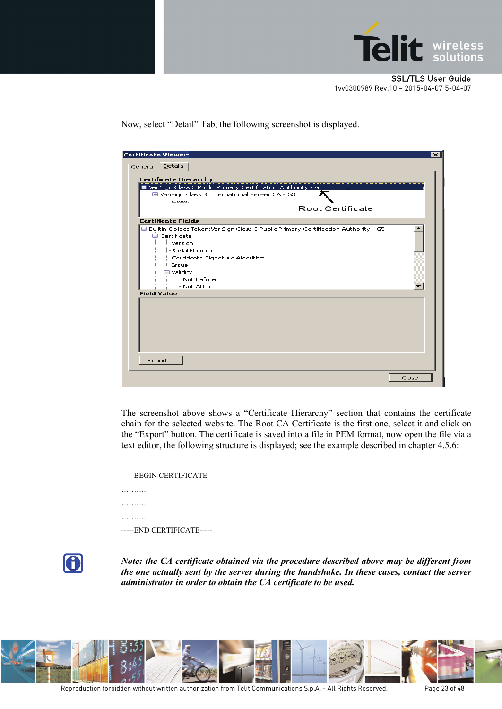

Now, select "Detail" Tab, the following screenshot is displayed.

| Certificate Viewer: |                                                                                                                   | ⊠     |
|---------------------|-------------------------------------------------------------------------------------------------------------------|-------|
| General Details     |                                                                                                                   |       |
|                     | <b>Certificate Hierarchy</b>                                                                                      |       |
|                     |                                                                                                                   |       |
|                     | ■ VeriSign Class 3 Public Primary Certification Authority - G5<br>□ VeriSign Class 3 International Server CA - G3 |       |
|                     | www.                                                                                                              |       |
|                     | <b>Root Certificate</b>                                                                                           |       |
|                     |                                                                                                                   |       |
|                     | <b>Certificate Fields</b>                                                                                         |       |
|                     | □ Builtin Object Token:VeriSign Class 3 Public Primary Certification Authority - G5                               |       |
|                     | <b>E</b> -Certificate                                                                                             |       |
|                     | <b>Werston</b>                                                                                                    |       |
|                     | <sup>i</sup> ≅Serial Number                                                                                       |       |
|                     | - Certificate Signature Algorithm                                                                                 |       |
|                     | i--Issuer                                                                                                         |       |
|                     | <b>自 Validity</b>                                                                                                 |       |
|                     | Mot Before                                                                                                        |       |
| <b>Field Value</b>  | <sup>i</sup> …Not After                                                                                           |       |
|                     |                                                                                                                   |       |
|                     |                                                                                                                   |       |
|                     |                                                                                                                   |       |
|                     |                                                                                                                   |       |
|                     |                                                                                                                   |       |
|                     |                                                                                                                   |       |
|                     |                                                                                                                   |       |
|                     |                                                                                                                   |       |
|                     | Export                                                                                                            |       |
|                     |                                                                                                                   |       |
|                     |                                                                                                                   | Close |
|                     |                                                                                                                   |       |

The screenshot above shows a "Certificate Hierarchy" section that contains the certificate chain for the selected website. The Root CA Certificate is the first one, select it and click on the "Export" button. The certificate is saved into a file in PEM format, now open the file via a text editor, the following structure is displayed; see the example described in chapte[r 4.5.6:](#page-41-0)

| -----BEGIN CERTIFICATE----- |
|-----------------------------|
|                             |
|                             |
|                             |
| -----END CERTIFICATE-----   |



*Note: the CA certificate obtained via the procedure described above may be different from the one actually sent by the server during the handshake. In these cases, contact the server administrator in order to obtain the CA certificate to be used.*

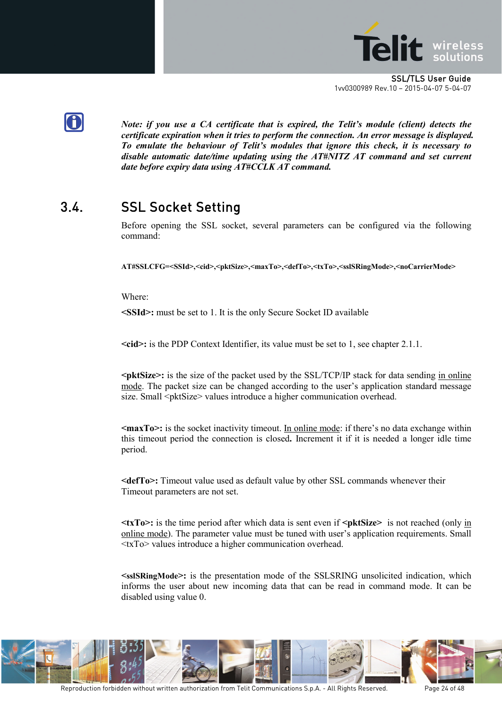



*Note: if you use a CA certificate that is expired, the Telit's module (client) detects the certificate expiration when it tries to perform the connection. An error message is displayed. To emulate the behaviour of Telit's modules that ignore this check, it is necessary to disable automatic date/time updating using the AT#NITZ AT command and set current date before expiry data using AT#CCLK AT command.*

## <span id="page-23-0"></span>3.4. SSL Socket Setting

Before opening the SSL socket, several parameters can be configured via the following command:

**AT#SSLCFG=<SSId>,<cid>,<pktSize>,<maxTo>,<defTo>,<txTo>,<sslSRingMode>,<noCarrierMode>**

Where:

**<SSId>:** must be set to 1. It is the only Secure Socket ID available

**<cid>:** is the PDP Context Identifier, its value must be set to 1, see chapter [2.1.1.](#page-9-2)

**<pktSize>:** is the size of the packet used by the SSL/TCP/IP stack for data sending in online mode. The packet size can be changed according to the user's application standard message size. Small <pktSize> values introduce a higher communication overhead.

**<maxTo>:** is the socket inactivity timeout. In online mode: if there's no data exchange within this timeout period the connection is closed**.** Increment it if it is needed a longer idle time period.

**<defTo>:** Timeout value used as default value by other SSL commands whenever their Timeout parameters are not set.

**<txTo>:** is the time period after which data is sent even if **<pktSize>** is not reached (only in online mode). The parameter value must be tuned with user's application requirements. Small <txTo> values introduce a higher communication overhead.

**<sslSRingMode>:** is the presentation mode of the SSLSRING unsolicited indication, which informs the user about new incoming data that can be read in command mode. It can be disabled using value 0.

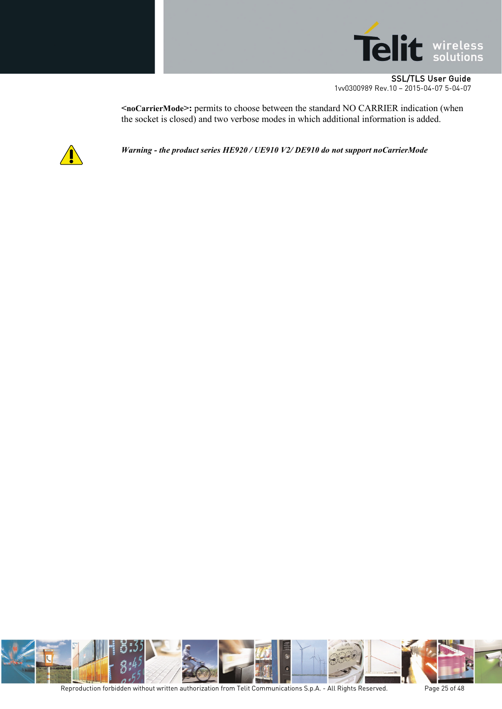

**<noCarrierMode>:** permits to choose between the standard NO CARRIER indication (when the socket is closed) and two verbose modes in which additional information is added.



*Warning - the product series HE920 / UE910 V2/ DE910 do not support noCarrierMode*

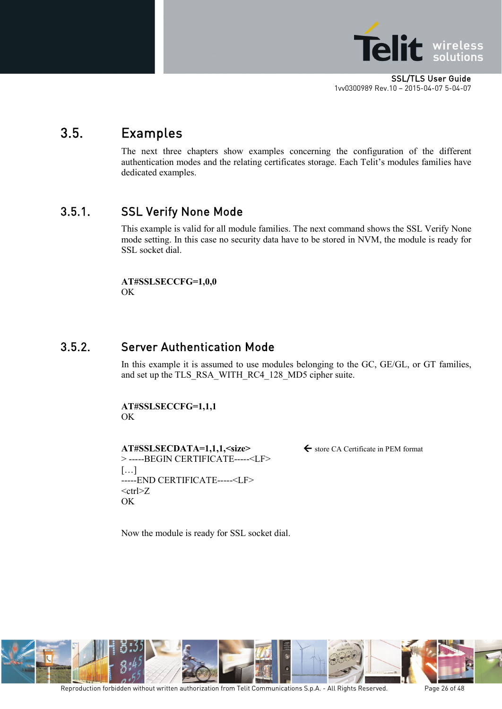

### <span id="page-25-0"></span>3.5. Examples

The next three chapters show examples concerning the configuration of the different authentication modes and the relating certificates storage. Each Telit's modules families have dedicated examples.

### <span id="page-25-1"></span>3.5.1. SSL Verify None Mode

This example is valid for all module families. The next command shows the SSL Verify None mode setting. In this case no security data have to be stored in NVM, the module is ready for SSL socket dial.

**AT#SSLSECCFG=1,0,0** OK

#### <span id="page-25-2"></span>3.5.2. Server Authentication Mode

In this example it is assumed to use modules belonging to the GC, GE/GL, or GT families, and set up the TLS\_RSA\_WITH\_RC4\_128\_MD5 cipher suite.

**AT#SSLSECCFG=1,1,1** OK

**AT#SSLSECDATA=1,1,1,<size>**← store CA Certificate in PEM format > -----BEGIN CERTIFICATE-----<LF> […] -----END CERTIFICATE-----<LF>  $<$ ctrl $>Z$ OK

Now the module is ready for SSL socket dial.

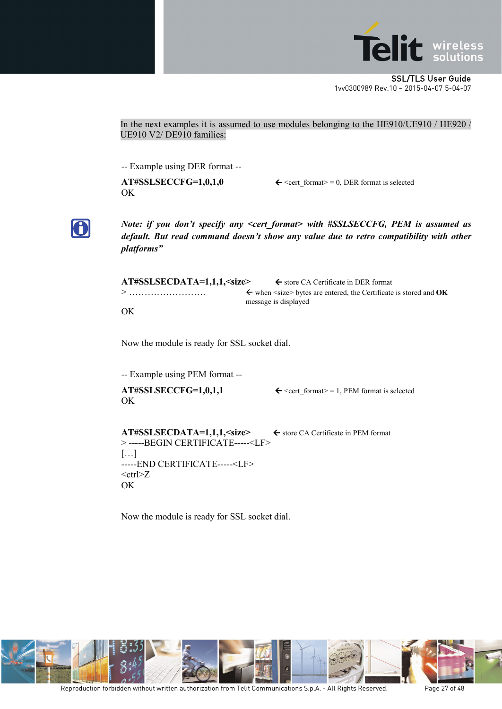

In the next examples it is assumed to use modules belonging to the HE910/UE910 / HE920 / UE910 V2/ DE910 families:

-- Example using DER format --

OK

**AT#SSLSECCFG=1,0,1,0**  $\leftarrow$  <cert format> = 0, DER format is selected



*Note: if you don't specify any <cert\_format> with #SSLSECCFG, PEM is assumed as default. But read command doesn't show any value due to retro compatibility with other platforms"* 

| AT#SSLSECDATA=1,1,1, <size></size> | $\epsilon$ store CA Certificate in DER format                                                                    |
|------------------------------------|------------------------------------------------------------------------------------------------------------------|
|                                    | $\leftarrow$ when $\leq$ size bytes are entered, the Certificate is stored and <b>OK</b><br>message is displayed |
| OK                                 |                                                                                                                  |

Now the module is ready for SSL socket dial.

-- Example using PEM format --

OK

 $AT#SSLSECCFG=1,0,1,1$   $\leftarrow$  <cert\_format> = 1, PEM format is selected

**AT#SSLSECDATA=1,1,1,<size>**  $\leftarrow$  store CA Certificate in PEM format > -----BEGIN CERTIFICATE-----<LF> […] -----END CERTIFICATE-----<LF>  $<$ ctrl $>Z$ OK

Now the module is ready for SSL socket dial.

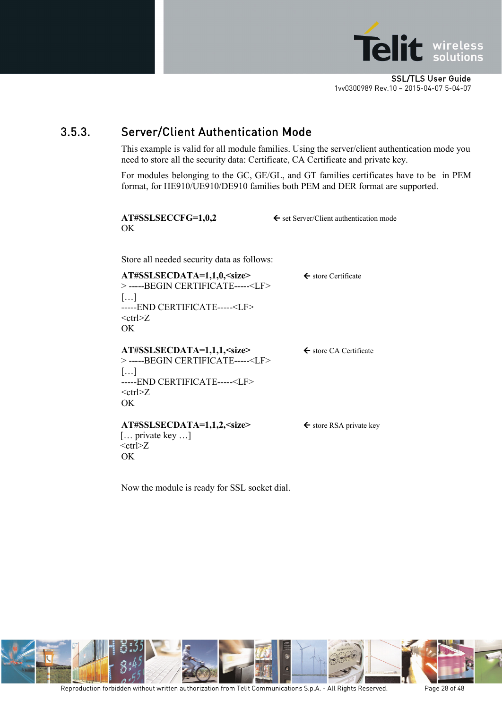

### <span id="page-27-0"></span>3.5.3. Server/Client Authentication Mode

This example is valid for all module families. Using the server/client authentication mode you need to store all the security data: Certificate, CA Certificate and private key.

For modules belonging to the GC, GE/GL, and GT families certificates have to be in PEM format, for HE910/UE910/DE910 families both PEM and DER format are supported.

| AT#SSLSECCFG=1,0,2<br>OK                                                                                                                                                                             | $\leftarrow$ set Server/Client authentication mode |
|------------------------------------------------------------------------------------------------------------------------------------------------------------------------------------------------------|----------------------------------------------------|
| Store all needed security data as follows:                                                                                                                                                           |                                                    |
| AT#SSLSECDATA=1,1,0, <size><br/>&gt; -----BEGIN CERTIFICATE-----<lf><br/><math>[\dots]</math><br/>-----END CERTIFICATE-----<lf></lf></lf></size>                                                     | $\leftarrow$ store Certificate                     |
| $<$ ctrl $>Z$<br>OK                                                                                                                                                                                  |                                                    |
| AT#SSLSECDATA=1,1,1, <size><br/>&gt; -----BEGIN CERTIFICATE-----<lf><br/><math>[\ldots]</math><br/>-----END CERTIFICATE-----<lf><br/><math>&lt;</math>ctrl<math>&gt;Z</math><br/>OK</lf></lf></size> | $\leftarrow$ store CA Certificate                  |
|                                                                                                                                                                                                      |                                                    |
| AT#SSLSECDATA=1,1,2, <size><br/><math>[\dots]</math> private key <math>\dots]</math><br/><math>&lt;</math>ctrl<math>&gt;Z</math><br/>ОK</size>                                                       | $\leftarrow$ store RSA private key                 |

Now the module is ready for SSL socket dial.

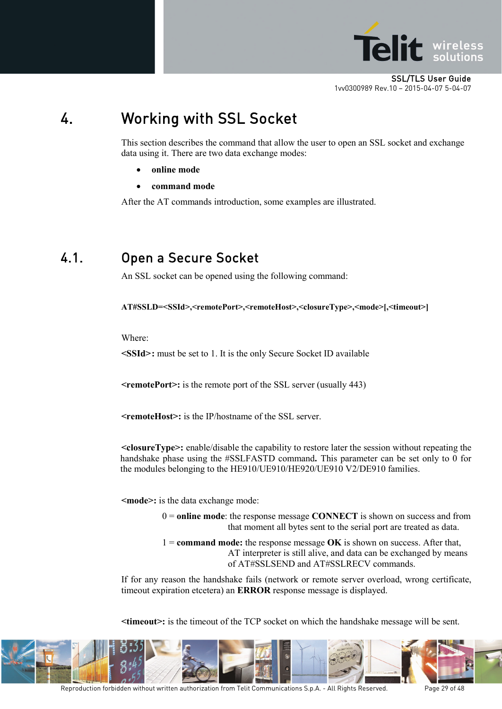

## <span id="page-28-0"></span>4. Working with SSL Socket

This section describes the command that allow the user to open an SSL socket and exchange data using it. There are two data exchange modes:

- **online mode**
- **command mode**

After the AT commands introduction, some examples are illustrated.

### <span id="page-28-1"></span>4.1. Open a Secure Socket

An SSL socket can be opened using the following command:

**AT#SSLD=<SSId>,<remotePort>,<remoteHost>,<closureType>,<mode>[,<timeout>]**

Where:

**<SSId>:** must be set to 1. It is the only Secure Socket ID available

**<remotePort>:** is the remote port of the SSL server (usually 443)

**<remoteHost>:** is the IP/hostname of the SSL server.

**<closureType>:** enable/disable the capability to restore later the session without repeating the handshake phase using the #SSLFASTD command**.** This parameter can be set only to 0 for the modules belonging to the HE910/UE910/HE920/UE910 V2/DE910 families.

**<mode>:** is the data exchange mode:

0 = **online mode**: the response message **CONNECT** is shown on success and from that moment all bytes sent to the serial port are treated as data.

1 = **command mode:** the response message **OK** is shown on success. After that, AT interpreter is still alive, and data can be exchanged by means of AT#SSLSEND and AT#SSLRECV commands.

If for any reason the handshake fails (network or remote server overload, wrong certificate, timeout expiration etcetera) an **ERROR** response message is displayed.

**<timeout>:** is the timeout of the TCP socket on which the handshake message will be sent.

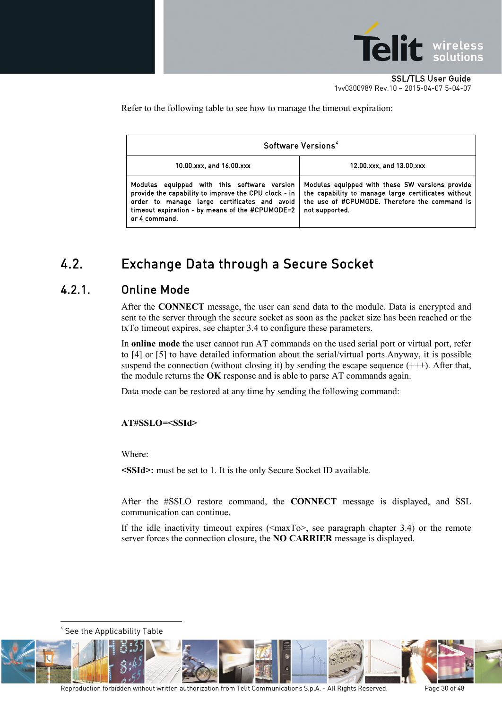

Refer to the following table to see how to manage the timeout expiration:

| Software Versions <sup>4</sup>                                                                                                                                                                                          |                                                                                                                                                                           |  |
|-------------------------------------------------------------------------------------------------------------------------------------------------------------------------------------------------------------------------|---------------------------------------------------------------------------------------------------------------------------------------------------------------------------|--|
| 10.00.xxx, and 16.00.xxx                                                                                                                                                                                                | 12.00.xxx, and 13.00.xxx                                                                                                                                                  |  |
| Modules equipped with this software version<br>provide the capability to improve the CPU clock - in<br>order to manage large certificates and avoid<br>timeout expiration - by means of the #CPUMODE=2<br>or 4 command. | Modules equipped with these SW versions provide<br>the capability to manage large certificates without<br>the use of #CPUMODE. Therefore the command is<br>not supported. |  |

### <span id="page-29-0"></span>4.2. Exchange Data through a Secure Socket

#### <span id="page-29-1"></span>4.2.1. Online Mode

After the **CONNECT** message, the user can send data to the module. Data is encrypted and sent to the server through the secure socket as soon as the packet size has been reached or the txTo timeout expires, see chapter [3.4](#page-23-0) to configure these parameters.

In **online mode** the user cannot run AT commands on the used serial port or virtual port, refer to [4] or [5] to have detailed information about the serial/virtual ports.Anyway, it is possible suspend the connection (without closing it) by sending the escape sequence  $(++)$ . After that, the module returns the **OK** response and is able to parse AT commands again.

Data mode can be restored at any time by sending the following command:

#### **AT#SSLO=<SSId>**

Where:

**<SSId>:** must be set to 1. It is the only Secure Socket ID available.

After the #SSLO restore command, the **CONNECT** message is displayed, and SSL communication can continue.

If the idle inactivity timeout expires  $(\langle maxTo \rangle)$ , see paragraph chapter [3.4\)](#page-23-0) or the remote server forces the connection closure, the **NO CARRIER** message is displayed.

4 See the Applicability Table <u>.</u>

<span id="page-29-2"></span>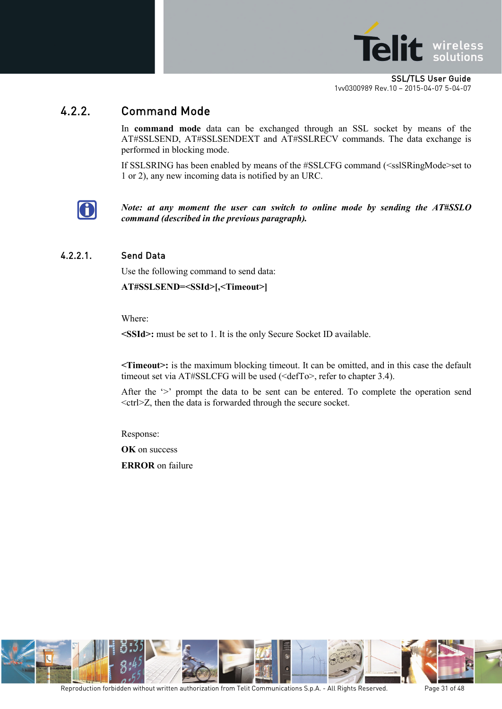

### <span id="page-30-0"></span>4.2.2. Command Mode

In **command mode** data can be exchanged through an SSL socket by means of the AT#SSLSEND, AT#SSLSENDEXT and AT#SSLRECV commands. The data exchange is performed in blocking mode.

If SSLSRING has been enabled by means of the #SSLCFG command (<sslSRingMode>set to 1 or 2), any new incoming data is notified by an URC.



*Note: at any moment the user can switch to online mode by sending the AT#SSLO command (described in the previous paragraph).*

#### <span id="page-30-1"></span>4.2.2.1. Send Data

Use the following command to send data:

**AT#SSLSEND=<SSId>[,<Timeout>]**

Where:

**<SSId>:** must be set to 1. It is the only Secure Socket ID available.

**<Timeout>:** is the maximum blocking timeout. It can be omitted, and in this case the default timeout set via AT#SSLCFG will be used (<defTo>, refer to chapter [3.4\)](#page-23-0).

After the '>' prompt the data to be sent can be entered. To complete the operation send <ctrl>Z, then the data is forwarded through the secure socket.

Response:

**OK** on success

**ERROR** on failure

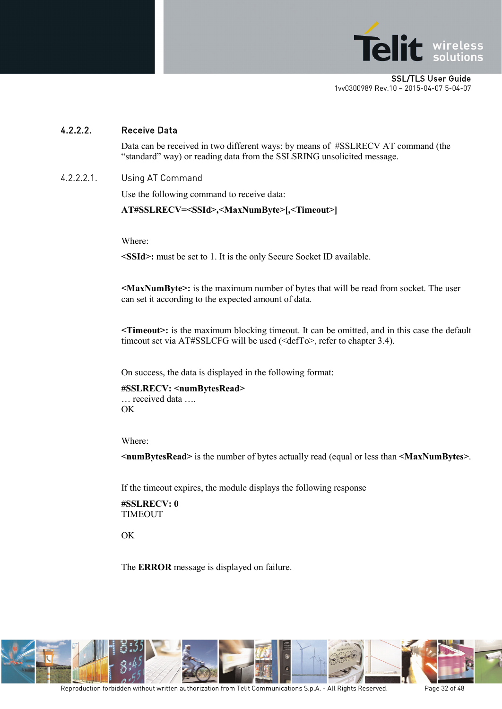

#### <span id="page-31-0"></span>4.2.2.2. Receive Data

Data can be received in two different ways: by means of #SSLRECV AT command (the "standard" way) or reading data from the SSLSRING unsolicited message.

4.2.2.2.1. Using AT Command

Use the following command to receive data:

**AT#SSLRECV=<SSId>,<MaxNumByte>[,<Timeout>]**

Where:

**<SSId>:** must be set to 1. It is the only Secure Socket ID available.

**<MaxNumByte>:** is the maximum number of bytes that will be read from socket. The user can set it according to the expected amount of data.

**<Timeout>:** is the maximum blocking timeout. It can be omitted, and in this case the default timeout set via AT#SSLCFG will be used (<defTo>, refer to chapter [3.4\)](#page-23-0).

On success, the data is displayed in the following format:

**#SSLRECV: <numBytesRead>** … received data …. OK

Where:

**<numBytesRead>** is the number of bytes actually read (equal or less than **<MaxNumBytes>**.

If the timeout expires, the module displays the following response

**#SSLRECV: 0** TIMEOUT

OK

The **ERROR** message is displayed on failure.

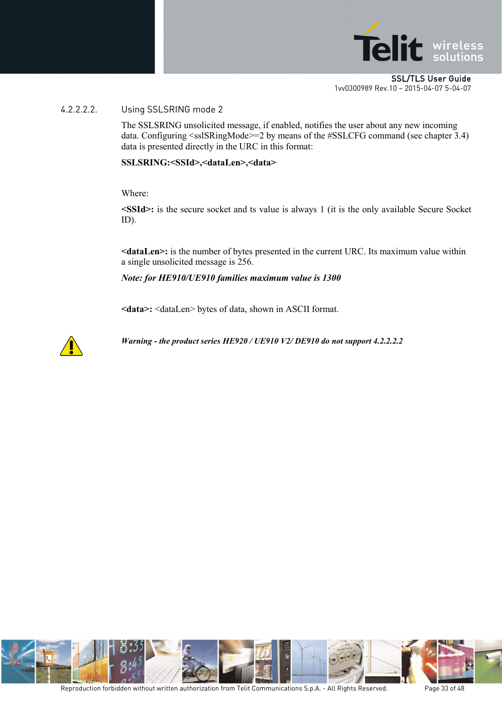

#### 4.2.2.2.2. Using SSLSRING mode 2

The SSLSRING unsolicited message, if enabled, notifies the user about any new incoming data. Configuring <sslSRingMode>=2 by means of the #SSLCFG command (see chapter [3.4\)](#page-23-0) data is presented directly in the URC in this format:

#### **SSLSRING:<SSId>,<dataLen>,<data>**

Where:

**<SSId>:** is the secure socket and ts value is always 1 (it is the only available Secure Socket ID).

**<dataLen>:** is the number of bytes presented in the current URC. Its maximum value within a single unsolicited message is 256.

*Note: for HE910/UE910 families maximum value is 1300*

**<data>:** <dataLen> bytes of data, shown in ASCII format.



*Warning - the product series HE920 / UE910 V2/ DE910 do not support 4.2.2.2.2*

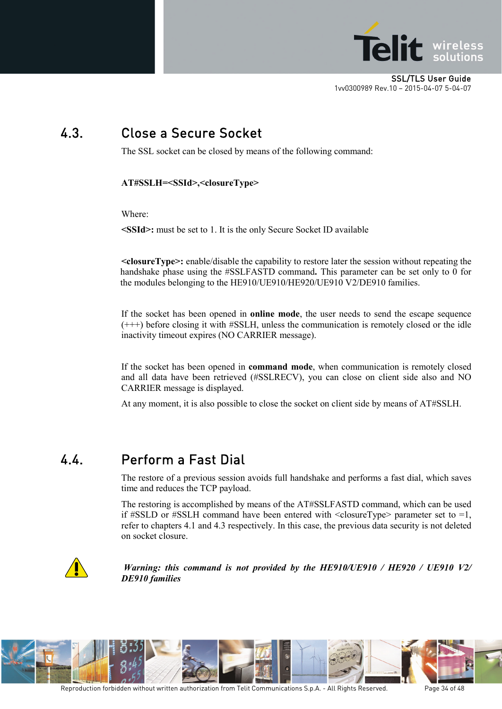

## <span id="page-33-0"></span>4.3. Close a Secure Socket

The SSL socket can be closed by means of the following command:

**AT#SSLH=<SSId>,<closureType>**

Where:

**<SSId>:** must be set to 1. It is the only Secure Socket ID available

**<closureType>:** enable/disable the capability to restore later the session without repeating the handshake phase using the #SSLFASTD command**.** This parameter can be set only to 0 for the modules belonging to the HE910/UE910/HE920/UE910 V2/DE910 families.

If the socket has been opened in **online mode**, the user needs to send the escape sequence (+++) before closing it with #SSLH, unless the communication is remotely closed or the idle inactivity timeout expires (NO CARRIER message).

If the socket has been opened in **command mode**, when communication is remotely closed and all data have been retrieved (#SSLRECV), you can close on client side also and NO CARRIER message is displayed.

At any moment, it is also possible to close the socket on client side by means of AT#SSLH.

### <span id="page-33-1"></span>4.4. Perform a Fast Dial

The restore of a previous session avoids full handshake and performs a fast dial, which saves time and reduces the TCP payload.

The restoring is accomplished by means of the AT#SSLFASTD command, which can be used if #SSLD or #SSLH command have been entered with  $\leq$ closureType $\geq$  parameter set to  $=1$ , refer to chapters [4.1](#page-28-1) and [4.3](#page-33-0) respectively. In this case, the previous data security is not deleted on socket closure.



*Warning: this command is not provided by the HE910/UE910 / HE920 / UE910 V2/ DE910 families*

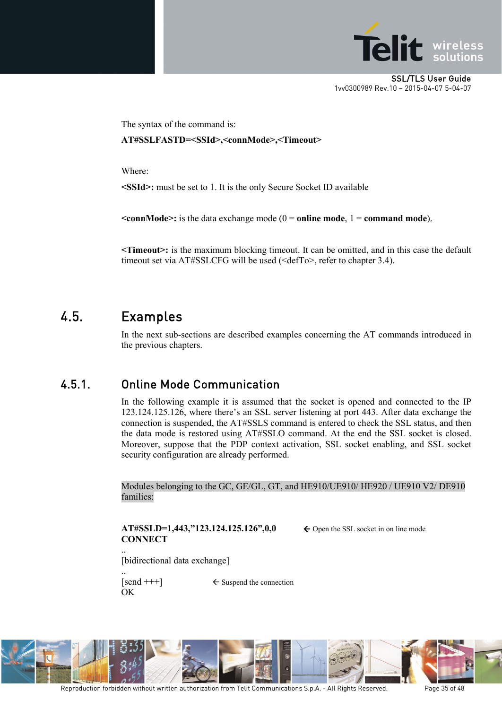

The syntax of the command is:

**AT#SSLFASTD=<SSId>,<connMode>,<Timeout>**

Where:

**<SSId>:** must be set to 1. It is the only Secure Socket ID available

 $\le$ **connMode>:** is the data exchange mode (0 = **online mode**, 1 = **command mode**).

**<Timeout>:** is the maximum blocking timeout. It can be omitted, and in this case the default timeout set via AT#SSLCFG will be used (<defTo>, refer to chapter [3.4\)](#page-23-0).

### <span id="page-34-0"></span>4.5. Examples

In the next sub-sections are described examples concerning the AT commands introduced in the previous chapters.

### <span id="page-34-1"></span>4.5.1. Online Mode Communication

In the following example it is assumed that the socket is opened and connected to the IP 123.124.125.126, where there's an SSL server listening at port 443. After data exchange the connection is suspended, the AT#SSLS command is entered to check the SSL status, and then the data mode is restored using AT#SSLO command. At the end the SSL socket is closed. Moreover, suppose that the PDP context activation, SSL socket enabling, and SSL socket security configuration are already performed.

Modules belonging to the GC, GE/GL, GT, and HE910/UE910/ HE920 / UE910 V2/ DE910 families:

**AT#SSLD=1,443,"123.124.125.126",0,0**  $\leftarrow$  Open the SSL socket in on line mode **CONNECT**

.. [bidirectional data exchange]

OK

..

 $\{\text{send }+++\}$   $\leftarrow$  Suspend the connection

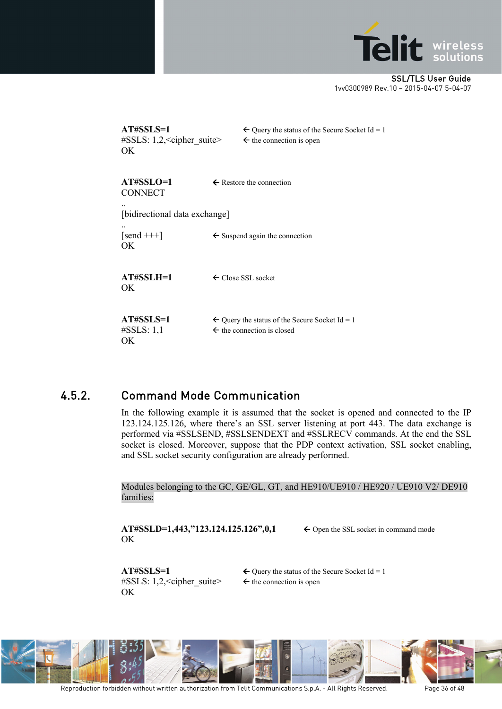

| AT#SSLS=1<br>$\#SSLS: 1,2, <$ cipher suite><br>OK. | $\leftarrow$ Query the status of the Secure Socket Id = 1<br>$\leftarrow$ the connection is open   |
|----------------------------------------------------|----------------------------------------------------------------------------------------------------|
| AT#SSLO=1<br><b>CONNECT</b>                        | $\leftarrow$ Restore the connection                                                                |
| [bidirectional data exchange]                      |                                                                                                    |
| $\lceil$ send +++ $\rceil$<br>OK.                  | $\leftarrow$ Suspend again the connection                                                          |
| $AT#SSI.H=1$<br>ОK                                 | $\leftarrow$ Close SSL socket                                                                      |
| AT#SSLS=1<br>$\#SSLS: 1,1$<br>OK.                  | $\leftarrow$ Query the status of the Secure Socket Id = 1<br>$\leftarrow$ the connection is closed |

### <span id="page-35-0"></span>4.5.2. Command Mode Communication

In the following example it is assumed that the socket is opened and connected to the IP 123.124.125.126, where there's an SSL server listening at port 443. The data exchange is performed via #SSLSEND, #SSLSENDEXT and #SSLRECV commands. At the end the SSL socket is closed. Moreover, suppose that the PDP context activation, SSL socket enabling, and SSL socket security configuration are already performed.

Modules belonging to the GC, GE/GL, GT, and HE910/UE910 / HE920 / UE910 V2/ DE910 families:

**AT#SSLD=1,443,"123.124.125.126",0,1** ← Open the SSL socket in command mode OK

#SSLS: 1,2,  $\le$  cipher\_suite>  $\le$  the connection is open OK

**AT#SSLS=1**  $\leftarrow$  Query the status of the Secure Socket Id = 1

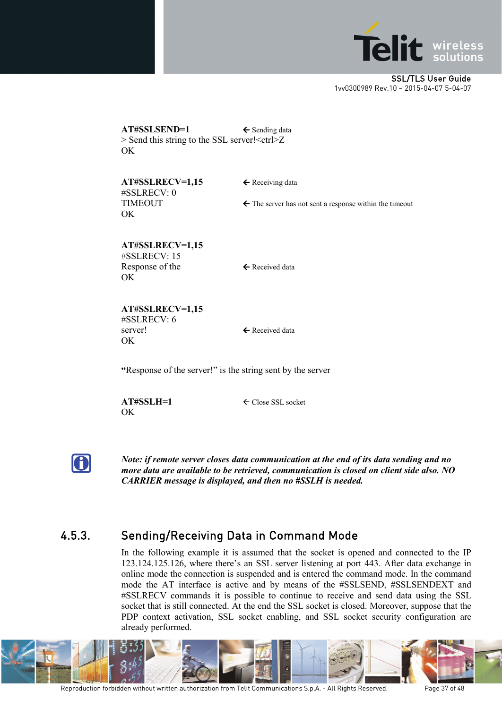

**AT#SSLSEND=1** ← Sending data  $>$  Send this string to the SSL server! $\leq$ ctrl $>$ Z OK

**AT#SSLRECV=1,15** ← Receiving data #SSLRECV: 0 OK

TIMEOUT  $\leftarrow$  The server has not sent a response within the timeout

**AT#SSLRECV=1,15** #SSLRECV: 15 Response of the  $\leftarrow$  Received data OK

**AT#SSLRECV=1,15** #SSLRECV: 6 server!  $\leftarrow$  Received data **OK** 

**"**Response of the server!" is the string sent by the server

OK

**AT#SSLH=1** Close SSL socket



*Note: if remote server closes data communication at the end of its data sending and no more data are available to be retrieved, communication is closed on client side also. NO CARRIER message is displayed, and then no #SSLH is needed.*

### <span id="page-36-0"></span>4.5.3. Sending/Receiving Data in Command Mode

In the following example it is assumed that the socket is opened and connected to the IP 123.124.125.126, where there's an SSL server listening at port 443. After data exchange in online mode the connection is suspended and is entered the command mode. In the command mode the AT interface is active and by means of the #SSLSEND, #SSLSENDEXT and #SSLRECV commands it is possible to continue to receive and send data using the SSL socket that is still connected. At the end the SSL socket is closed. Moreover, suppose that the PDP context activation, SSL socket enabling, and SSL socket security configuration are already performed.

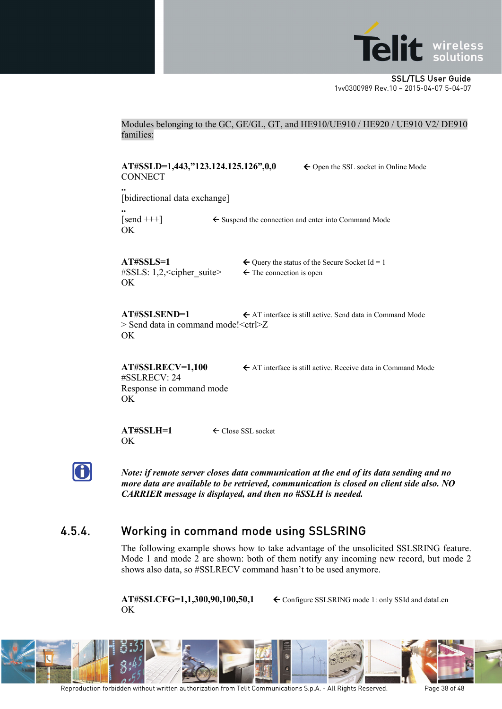

Modules belonging to the GC, GE/GL, GT, and HE910/UE910 / HE920 / UE910 V2/ DE910 families:

**AT#SSLD=1,443,"123.124.125.126",0,0** ← Open the SSL socket in Online Mode **CONNECT** 

[bidirectional data exchange]

**..** OK

**..**

 $[send +<sup>+</sup>]$   $\leftarrow$  Suspend the connection and enter into Command Mode

#SSLS: 1,2,  $\lt$  cipher suite>  $\lt$  The connection is open OK

**AT#SSLS=1**  $\leftarrow$  Query the status of the Secure Socket Id = 1

**AT#SSLSEND=1**  $\leftarrow$  AT interface is still active. Send data in Command Mode > Send data in command mode!<ctrl>Z OK

#SSLRECV: 24 Response in command mode OK

**AT#SSLRECV=1,100** ← AT interface is still active. Receive data in Command Mode

**AT#SSLH=1** Close SSL socket OK

G

*Note: if remote server closes data communication at the end of its data sending and no more data are available to be retrieved, communication is closed on client side also. NO CARRIER message is displayed, and then no #SSLH is needed.*

### <span id="page-37-0"></span>4.5.4. Working in command mode using SSLSRING

The following example shows how to take advantage of the unsolicited SSLSRING feature. Mode 1 and mode 2 are shown: both of them notify any incoming new record, but mode 2 shows also data, so #SSLRECV command hasn't to be used anymore.

OK

**AT#SSLCFG=1,1,300,90,100,50,1** Configure SSLSRING mode 1: only SSId and dataLen

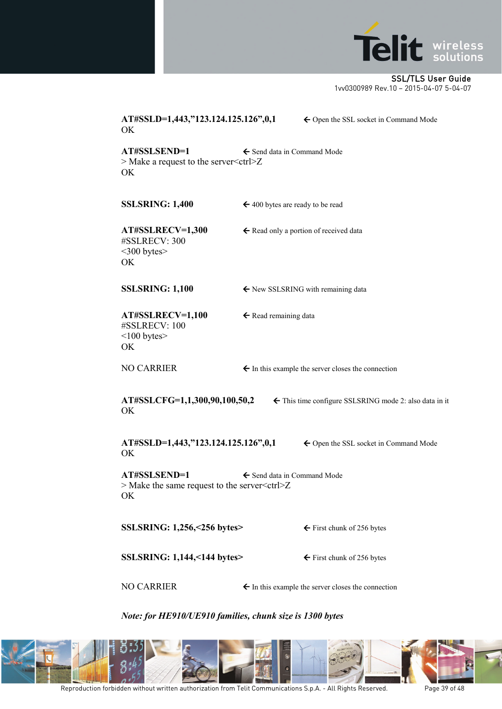

| AT#SSLD=1,443,"123.124.125.126",0,1<br><b>OK</b>                                                                       | ← Open the SSL socket in Command Mode                         |  |
|------------------------------------------------------------------------------------------------------------------------|---------------------------------------------------------------|--|
| AT#SSLSEND=1<br>$>$ Make a request to the server $<$ ctrl $>$ Z<br>OK                                                  | ← Send data in Command Mode                                   |  |
| <b>SSLSRING: 1,400</b>                                                                                                 | $\leftarrow$ 400 bytes are ready to be read                   |  |
| AT#SSLRECV=1,300<br>#SSLRECV: 300<br>$<300$ bytes $>$<br>OK                                                            | $\leftarrow$ Read only a portion of received data             |  |
| <b>SSLSRING: 1,100</b>                                                                                                 | ← New SSLSRING with remaining data                            |  |
| AT#SSLRECV=1,100<br>#SSLRECV: 100<br>$<$ 100 bytes $>$<br>OK                                                           | ← Read remaining data                                         |  |
| <b>NO CARRIER</b>                                                                                                      | $\leftarrow$ In this example the server closes the connection |  |
| AT#SSLCFG=1,1,300,90,100,50,2<br>← This time configure SSLSRING mode 2: also data in it<br>OK                          |                                                               |  |
| AT#SSLD=1,443,"123.124.125.126",0,1<br>OK                                                                              | ← Open the SSL socket in Command Mode                         |  |
| AT#SSLSEND=1<br>$\leftarrow$ Send data in Command Mode<br>$>$ Make the same request to the server $<$ ctrl $>$ Z<br>OK |                                                               |  |
| SSLSRING: 1,256,<256 bytes>                                                                                            | $\leftarrow$ First chunk of 256 bytes                         |  |
| <b>SSLSRING: 1,144, &lt;144 bytes&gt;</b>                                                                              | $\leftarrow$ First chunk of 256 bytes                         |  |
| <b>NO CARRIER</b>                                                                                                      | $\leftarrow$ In this example the server closes the connection |  |

*Note: for HE910/UE910 families, chunk size is 1300 bytes*

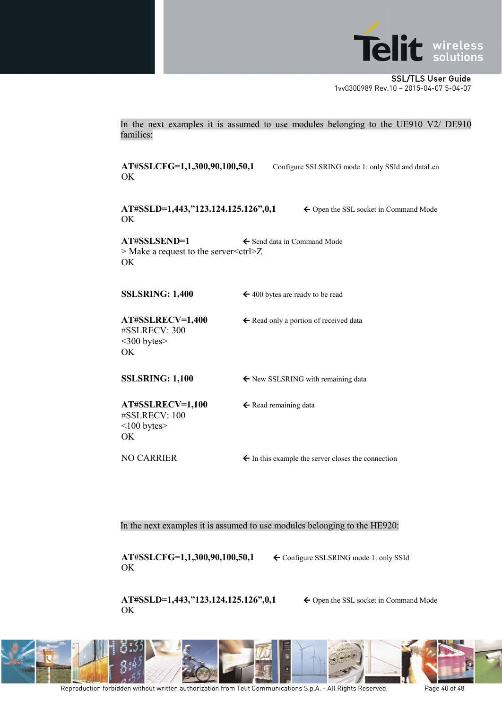

In the next examples it is assumed to use modules belonging to the UE910 V2/ DE910 families:

OK

**AT#SSLCFG=1,1,300,90,100,50,1** Configure SSLSRING mode 1: only SSId and dataLen

**AT#SSLD=1,443,"123.124.125.126",0,1** ← Open the SSL socket in Command Mode OK

**AT#SSLSEND=1** ← Send data in Command Mode > Make a request to the server < ctrl > Z OK

**SSLSRING:** 1,400  $\leftarrow$  400 bytes are ready to be read

AT#SSLRECV=1,400 ← Read only a portion of received data #SSLRECV: 300 <300 bytes> OK

**SSLSRING: 1,100**  $\leftarrow$  New SSLSRING with remaining data

**AT#SSLRECV=1,100 ← Read remaining data** #SSLRECV: 100  $<$ 100 bytes $>$ OK

NO CARRIER  $\leftarrow$  In this example the server closes the connection

In the next examples it is assumed to use modules belonging to the HE920:

**AT#SSLCFG=1,1,300,90,100,50,1** Configure SSLSRING mode 1: only SSId OK

**AT#SSLD=1,443,"123.124.125.126",0,1** ← Open the SSL socket in Command Mode OK

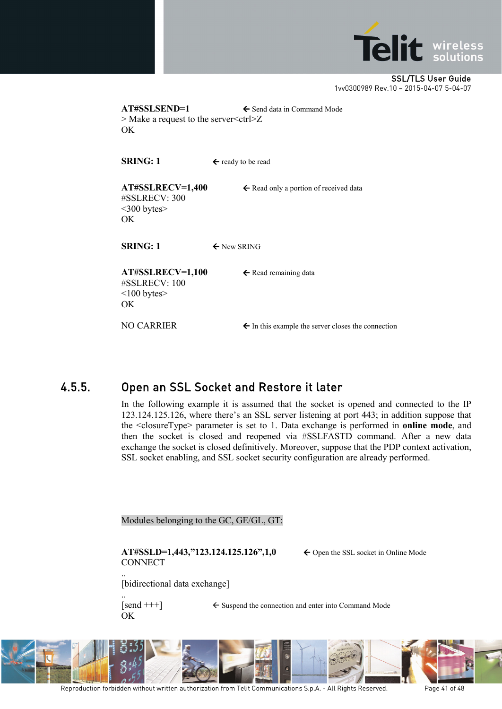

**AT#SSLSEND=1** ← Send data in Command Mode > Make a request to the server<ctrl>Z OK

**SRING:** 1  $\leftarrow$  ready to be read

AT#SSLRECV=1,400 ← Read only a portion of received data #SSLRECV: 300 <300 bytes> OK

**SRING:** 1  $\leftarrow$  New SRING

**AT#SSLRECV=1,100 ← Read remaining data** #SSLRECV: 100  $\leq$ 100 bytes $>$ OK

NO CARRIER  $\leftarrow$  In this example the server closes the connection

### <span id="page-40-0"></span>4.5.5. Open an SSL Socket and Restore it later

In the following example it is assumed that the socket is opened and connected to the IP 123.124.125.126, where there's an SSL server listening at port 443; in addition suppose that the <closureType> parameter is set to 1. Data exchange is performed in **online mode**, and then the socket is closed and reopened via #SSLFASTD command. After a new data exchange the socket is closed definitively. Moreover, suppose that the PDP context activation, SSL socket enabling, and SSL socket security configuration are already performed.

Modules belonging to the GC, GE/GL, GT:

**AT#SSLD=1,443,"123.124.125.126",1,0** ← Open the SSL socket in Online Mode **CONNECT** 

[bidirectional data exchange]

..

..  $[send +<sup>+</sup>]$   $\leftarrow$  Suspend the connection and enter into Command Mode OK



Reproduction forbidden without written authorization from Telit Communications S.p.A. - All Rights Reserved. Page 41 of 48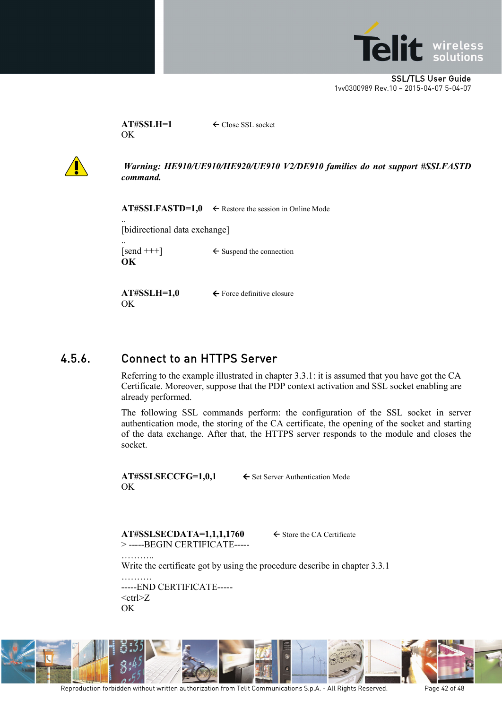

**AT#SSLH=1** Close SSL socket **OK** 



*Warning: HE910/UE910/HE920/UE910 V2/DE910 families do not support #SSLFASTD command.*

**AT#SSLFASTD=1,0**  $\leftarrow$  Restore the session in Online Mode

[bidirectional data exchange]

.. **OK** 

..

 $\{\text{send }+++\}$   $\leftarrow$  Suspend the connection

OK

**AT#SSLH=1,0** ← Force definitive closure

### <span id="page-41-0"></span>4.5.6. Connect to an HTTPS Server

Referring to the example illustrated in chapter [3.3.1:](#page-20-0) it is assumed that you have got the CA Certificate. Moreover, suppose that the PDP context activation and SSL socket enabling are already performed.

The following SSL commands perform: the configuration of the SSL socket in server authentication mode, the storing of the CA certificate, the opening of the socket and starting of the data exchange. After that, the HTTPS server responds to the module and closes the socket.

OK

…………

 $AT#S SLSECCFG=1,0,1$   $\leftarrow$  Set Server Authentication Mode

 $AT#S SLSECDATA=1,1,1,1760$   $\leftarrow$  Store the CA Certificate > -----BEGIN CERTIFICATE-----

Write the certificate got by using the procedure describe in chapter [3.3.1](#page-20-0)

………. -----END CERTIFICATE-----  $<$ ctrl $>Z$ OK

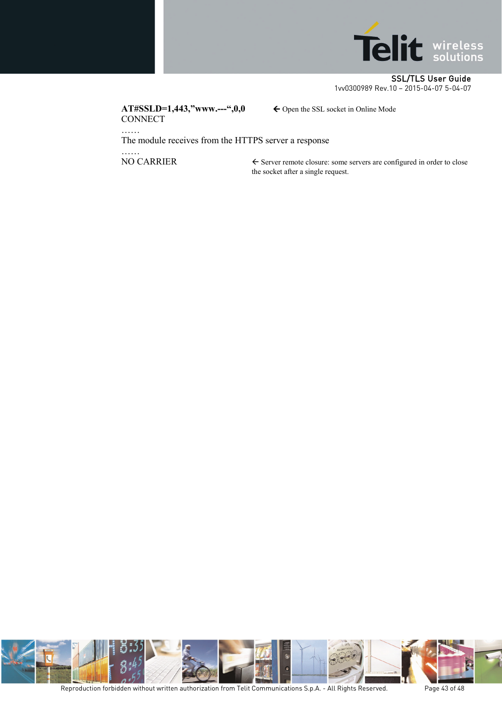

 $AT#SSLD=1,443,"$ **www.---",0,0**  $\leftarrow$  Open the SSL socket in Online Mode **CONNECT** 

The module receives from the HTTPS server a response

……<br>NO CARRIER

……

 $\epsilon$  Server remote closure: some servers are configured in order to close the socket after a single request.

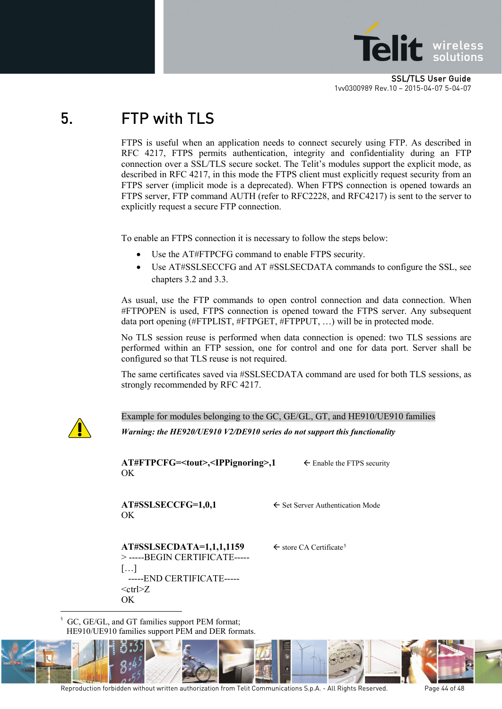![](_page_43_Picture_0.jpeg)

## <span id="page-43-0"></span>5. FTP with TLS

FTPS is useful when an application needs to connect securely using FTP. As described in RFC 4217, FTPS permits authentication, integrity and confidentiality during an FTP connection over a SSL/TLS secure socket. The Telit's modules support the explicit mode, as described in RFC 4217, in this mode the FTPS client must explicitly request security from an FTPS server (implicit mode is a deprecated). When FTPS connection is opened towards an FTPS server, FTP command AUTH (refer to RFC2228, and RFC4217) is sent to the server to explicitly request a secure FTP connection.

To enable an FTPS connection it is necessary to follow the steps below:

- Use the AT#FTPCFG command to enable FTPS security.
- Use AT#SSLSECCFG and AT #SSLSECDATA commands to configure the SSL, see chapters [3.2](#page-15-0) and [3.3.](#page-17-0)

As usual, use the FTP commands to open control connection and data connection. When #FTPOPEN is used, FTPS connection is opened toward the FTPS server. Any subsequent data port opening (#FTPLIST, #FTPGET, #FTPPUT, …) will be in protected mode.

No TLS session reuse is performed when data connection is opened: two TLS sessions are performed within an FTP session, one for control and one for data port. Server shall be configured so that TLS reuse is not required.

The same certificates saved via #SSLSECDATA command are used for both TLS sessions, as strongly recommended by RFC 4217.

![](_page_43_Picture_10.jpeg)

-

Example for modules belonging to the GC, GE/GL, GT, and HE910/UE910 families *Warning: the HE920/UE910 V2/DE910 series do not support this functionality*

**AT#FTPCFG=<tout>,<IPPignoring>,1** ← Enable the FTPS security OK

OK

 $AT#SSLSECCFG=1,0,1$   $\leftarrow$  Set Server Authentication Mode

 $AT#S SLSECDATA=1,1,1,1159$  $AT#S SLSECDATA=1,1,1,1159$  $AT#S SLSECDATA=1,1,1,1159$   $\leftarrow$  store CA Certificate<sup>5</sup> > -----BEGIN CERTIFICATE----- […] -----END CERTIFICATE-----  $<$ ctrl $>$ Z OK

5 GC, GE/GL, and GT families support PEM format; HE910/UE910 families support PEM and DER formats.

<span id="page-43-1"></span>![](_page_43_Picture_19.jpeg)

Reproduction forbidden without written authorization from Telit Communications S.p.A. - All Rights Reserved. Page 44 of 48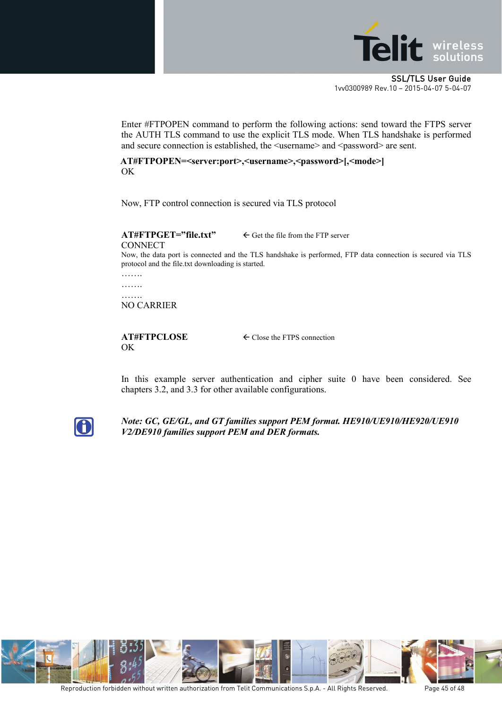![](_page_44_Picture_0.jpeg)

Enter #FTPOPEN command to perform the following actions: send toward the FTPS server the AUTH TLS command to use the explicit TLS mode. When TLS handshake is performed and secure connection is established, the  $\leq$ username $>$  and  $\leq$ password $>$  are sent.

**AT#FTPOPEN=<server:port>,<username>,<password>[,<mode>]**  OK

Now, FTP control connection is secured via TLS protocol

#### $AT \# FTPGET="file.txt" \Leftrightarrow$  Get the file from the FTP server **CONNECT**

Now, the data port is connected and the TLS handshake is performed, FTP data connection is secured via TLS protocol and the file.txt downloading is started.

…… ……. …….

NO CARRIER

## OK

**AT#FTPCLOSE** Close the FTPS connection

In this example server authentication and cipher suite 0 have been considered. See chapters [3.2,](#page-15-0) and [3.3](#page-17-0) for other available configurations.

![](_page_44_Picture_13.jpeg)

*Note: GC, GE/GL, and GT families support PEM format. HE910/UE910/HE920/UE910 V2/DE910 families support PEM and DER formats.*

![](_page_44_Picture_15.jpeg)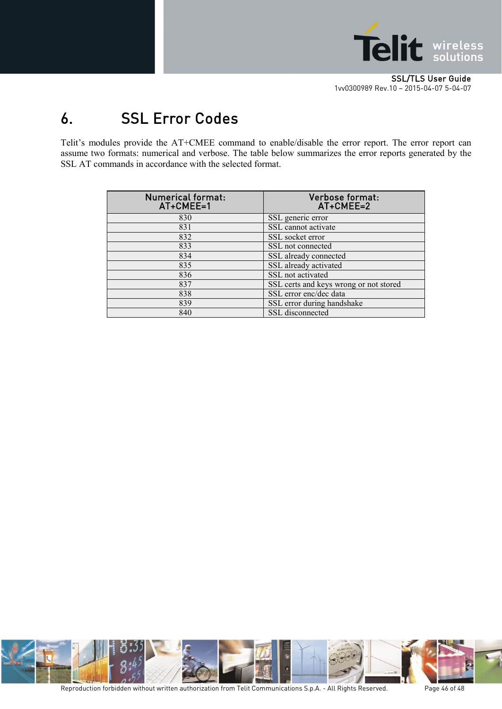![](_page_45_Picture_0.jpeg)

## <span id="page-45-0"></span>6. SSL Error Codes

Telit's modules provide the AT+CMEE command to enable/disable the error report. The error report can assume two formats: numerical and verbose. The table below summarizes the error reports generated by the SSL AT commands in accordance with the selected format.

| Numerical format:<br>AT+CMEE=1 | Verbose format:<br>AT+CMEE=2           |
|--------------------------------|----------------------------------------|
| 830                            | SSL generic error                      |
| 831                            | SSL cannot activate                    |
| 832                            | SSL socket error                       |
| 833                            | SSL not connected                      |
| 834                            | SSL already connected                  |
| 835                            | SSL already activated                  |
| 836                            | SSL not activated                      |
| 837                            | SSL certs and keys wrong or not stored |
| 838                            | SSL error enc/dec data                 |
| 839                            | SSL error during handshake             |
| 840                            | SSL disconnected                       |

![](_page_45_Picture_5.jpeg)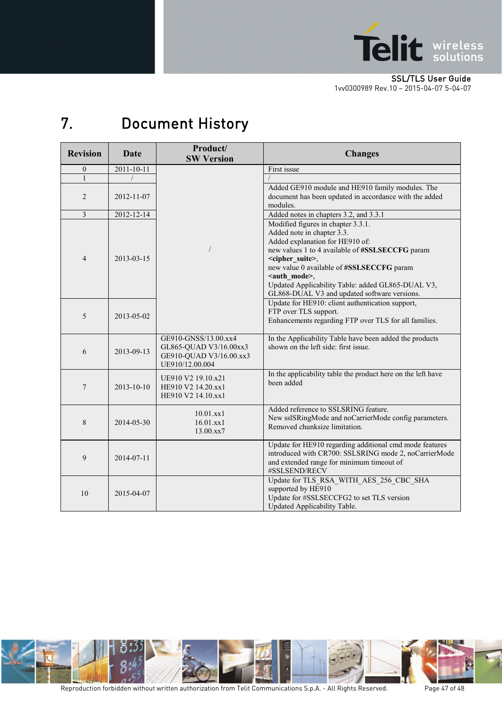![](_page_46_Picture_0.jpeg)

#### SSL/TLS User Guide

[1vv0300989](#page-0-0) Rev.10 – 2015-04-07 5-04-07

## <span id="page-46-0"></span>7. Document History

| <b>Revision</b> | <b>Date</b> | Product/<br><b>SW Version</b>                                                                | <b>Changes</b>                                                                                                                                                                                                                                                                                                                                                             |
|-----------------|-------------|----------------------------------------------------------------------------------------------|----------------------------------------------------------------------------------------------------------------------------------------------------------------------------------------------------------------------------------------------------------------------------------------------------------------------------------------------------------------------------|
| $\overline{0}$  | 2011-10-11  |                                                                                              | First issue                                                                                                                                                                                                                                                                                                                                                                |
| 1               |             |                                                                                              |                                                                                                                                                                                                                                                                                                                                                                            |
| $\overline{2}$  | 2012-11-07  |                                                                                              | Added GE910 module and HE910 family modules. The<br>document has been updated in accordance with the added<br>modules.                                                                                                                                                                                                                                                     |
| $\overline{3}$  | 2012-12-14  |                                                                                              | Added notes in chapters 3.2, and 3.3.1                                                                                                                                                                                                                                                                                                                                     |
| $\overline{4}$  | 2013-03-15  |                                                                                              | Modified figures in chapter 3.3.1.<br>Added note in chapter 3.3.<br>Added explanation for HE910 of:<br>new values 1 to 4 available of #SSLSECCFG param<br><cipher_suite>,<br/>new value 0 available of #SSLSECCFG param<br/><auth_mode>,<br/>Updated Applicability Table: added GL865-DUAL V3,<br/>GL868-DUAL V3 and updated software versions.</auth_mode></cipher_suite> |
| 5               | 2013-05-02  |                                                                                              | Update for HE910: client authentication support,<br>FTP over TLS support.<br>Enhancements regarding FTP over TLS for all families.                                                                                                                                                                                                                                         |
| 6               | 2013-09-13  | GE910-GNSS/13.00.xx4<br>GL865-QUAD V3/16.00xx3<br>GE910-QUAD V3/16.00.xx3<br>UE910/12.00.004 | In the Applicability Table have been added the products<br>shown on the left side: first issue.                                                                                                                                                                                                                                                                            |
| 7               | 2013-10-10  | UE910 V2 19.10.x21<br>HE910 V2 14.20.xx1<br>HE910 V2 14.10.xx1                               | In the applicability table the product here on the left have<br>been added                                                                                                                                                                                                                                                                                                 |
| 8               | 2014-05-30  | $10.01$ .xx1<br>16.01.xx1<br>13.00.xx7                                                       | Added reference to SSLSRING feature.<br>New sslSRingMode and noCarrierMode config parameters.<br>Removed chunksize limitation.                                                                                                                                                                                                                                             |
| 9               | 2014-07-11  |                                                                                              | Update for HE910 regarding additional cmd mode features<br>introduced with CR700: SSLSRING mode 2, noCarrierMode<br>and extended range for minimum timeout of<br>#SSLSEND/RECV                                                                                                                                                                                             |
| 10              | 2015-04-07  |                                                                                              | Update for TLS RSA WITH AES 256 CBC SHA<br>supported by HE910<br>Update for #SSLSECCFG2 to set TLS version<br>Updated Applicability Table.                                                                                                                                                                                                                                 |

![](_page_46_Picture_5.jpeg)